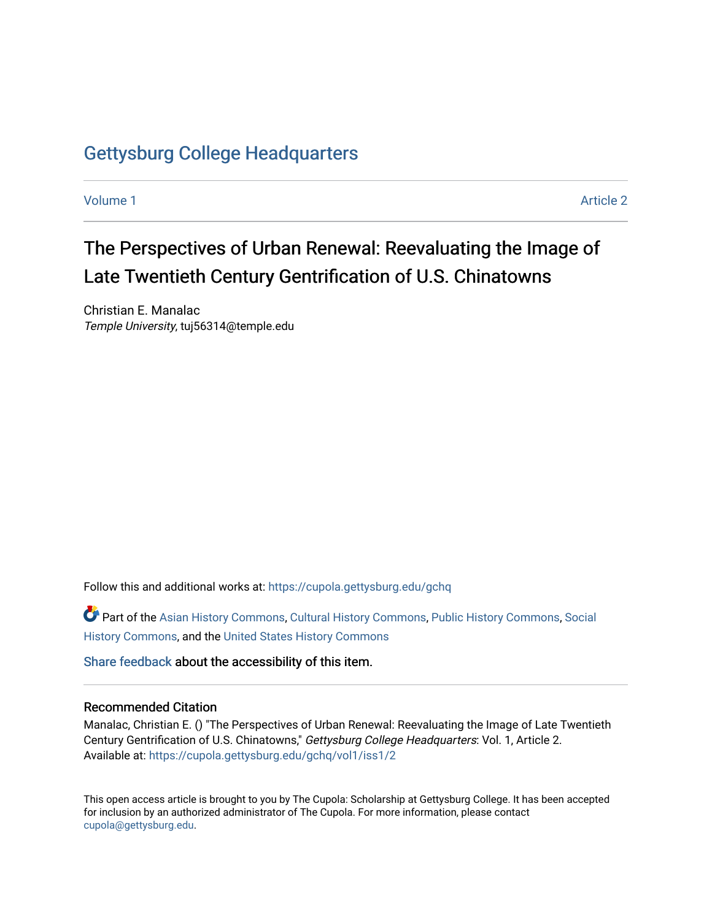## [Gettysburg College Headquarters](https://cupola.gettysburg.edu/gchq)

[Volume 1](https://cupola.gettysburg.edu/gchq/vol1) Article 2

## The Perspectives of Urban Renewal: Reevaluating the Image of Late Twentieth Century Gentrification of U.S. Chinatowns

Christian E. Manalac Temple University, tuj56314@temple.edu

Follow this and additional works at: [https://cupola.gettysburg.edu/gchq](https://cupola.gettysburg.edu/gchq?utm_source=cupola.gettysburg.edu%2Fgchq%2Fvol1%2Fiss1%2F2&utm_medium=PDF&utm_campaign=PDFCoverPages)

Part of the [Asian History Commons](https://network.bepress.com/hgg/discipline/491?utm_source=cupola.gettysburg.edu%2Fgchq%2Fvol1%2Fiss1%2F2&utm_medium=PDF&utm_campaign=PDFCoverPages), [Cultural History Commons,](https://network.bepress.com/hgg/discipline/496?utm_source=cupola.gettysburg.edu%2Fgchq%2Fvol1%2Fiss1%2F2&utm_medium=PDF&utm_campaign=PDFCoverPages) [Public History Commons,](https://network.bepress.com/hgg/discipline/1292?utm_source=cupola.gettysburg.edu%2Fgchq%2Fvol1%2Fiss1%2F2&utm_medium=PDF&utm_campaign=PDFCoverPages) [Social](https://network.bepress.com/hgg/discipline/506?utm_source=cupola.gettysburg.edu%2Fgchq%2Fvol1%2Fiss1%2F2&utm_medium=PDF&utm_campaign=PDFCoverPages) [History Commons](https://network.bepress.com/hgg/discipline/506?utm_source=cupola.gettysburg.edu%2Fgchq%2Fvol1%2Fiss1%2F2&utm_medium=PDF&utm_campaign=PDFCoverPages), and the [United States History Commons](https://network.bepress.com/hgg/discipline/495?utm_source=cupola.gettysburg.edu%2Fgchq%2Fvol1%2Fiss1%2F2&utm_medium=PDF&utm_campaign=PDFCoverPages) 

[Share feedback](https://docs.google.com/a/bepress.com/forms/d/1h9eEcpBPj5POs5oO6Y5A0blXRmZqykoonyYiZUNyEq8/viewform) about the accessibility of this item.

#### Recommended Citation

Manalac, Christian E. () "The Perspectives of Urban Renewal: Reevaluating the Image of Late Twentieth Century Gentrification of U.S. Chinatowns," Gettysburg College Headquarters: Vol. 1, Article 2. Available at: [https://cupola.gettysburg.edu/gchq/vol1/iss1/2](https://cupola.gettysburg.edu/gchq/vol1/iss1/2?utm_source=cupola.gettysburg.edu%2Fgchq%2Fvol1%2Fiss1%2F2&utm_medium=PDF&utm_campaign=PDFCoverPages) 

This open access article is brought to you by The Cupola: Scholarship at Gettysburg College. It has been accepted for inclusion by an authorized administrator of The Cupola. For more information, please contact [cupola@gettysburg.edu.](mailto:cupola@gettysburg.edu)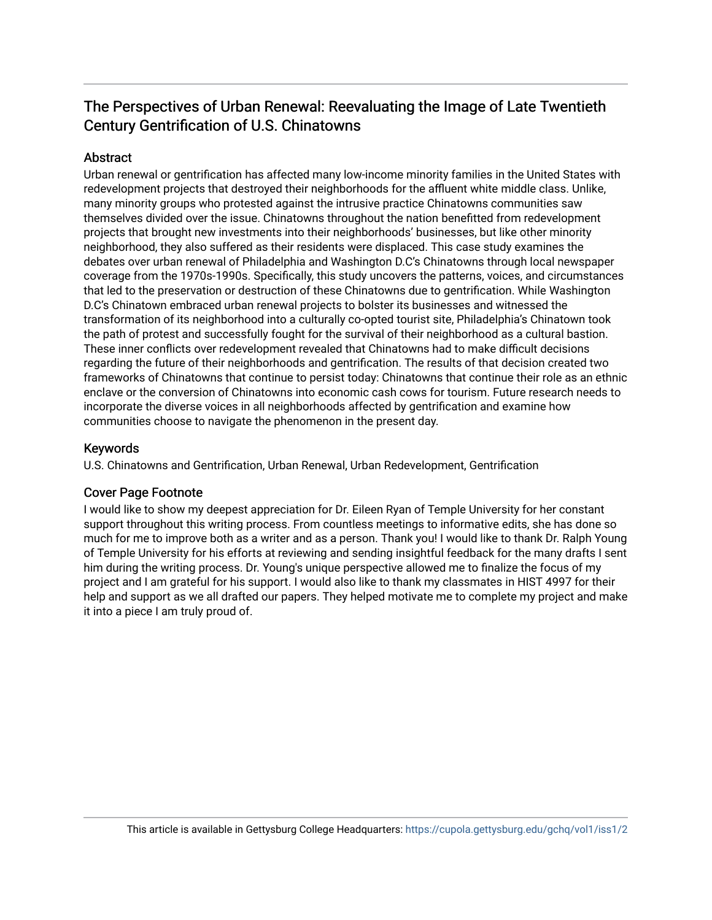### The Perspectives of Urban Renewal: Reevaluating the Image of Late Twentieth Century Gentrification of U.S. Chinatowns

#### **Abstract**

Urban renewal or gentrification has affected many low-income minority families in the United States with redevelopment projects that destroyed their neighborhoods for the affluent white middle class. Unlike, many minority groups who protested against the intrusive practice Chinatowns communities saw themselves divided over the issue. Chinatowns throughout the nation benefitted from redevelopment projects that brought new investments into their neighborhoods' businesses, but like other minority neighborhood, they also suffered as their residents were displaced. This case study examines the debates over urban renewal of Philadelphia and Washington D.C's Chinatowns through local newspaper coverage from the 1970s-1990s. Specifically, this study uncovers the patterns, voices, and circumstances that led to the preservation or destruction of these Chinatowns due to gentrification. While Washington D.C's Chinatown embraced urban renewal projects to bolster its businesses and witnessed the transformation of its neighborhood into a culturally co-opted tourist site, Philadelphia's Chinatown took the path of protest and successfully fought for the survival of their neighborhood as a cultural bastion. These inner conflicts over redevelopment revealed that Chinatowns had to make difficult decisions regarding the future of their neighborhoods and gentrification. The results of that decision created two frameworks of Chinatowns that continue to persist today: Chinatowns that continue their role as an ethnic enclave or the conversion of Chinatowns into economic cash cows for tourism. Future research needs to incorporate the diverse voices in all neighborhoods affected by gentrification and examine how communities choose to navigate the phenomenon in the present day.

#### Keywords

U.S. Chinatowns and Gentrification, Urban Renewal, Urban Redevelopment, Gentrification

#### Cover Page Footnote

I would like to show my deepest appreciation for Dr. Eileen Ryan of Temple University for her constant support throughout this writing process. From countless meetings to informative edits, she has done so much for me to improve both as a writer and as a person. Thank you! I would like to thank Dr. Ralph Young of Temple University for his efforts at reviewing and sending insightful feedback for the many drafts I sent him during the writing process. Dr. Young's unique perspective allowed me to finalize the focus of my project and I am grateful for his support. I would also like to thank my classmates in HIST 4997 for their help and support as we all drafted our papers. They helped motivate me to complete my project and make it into a piece I am truly proud of.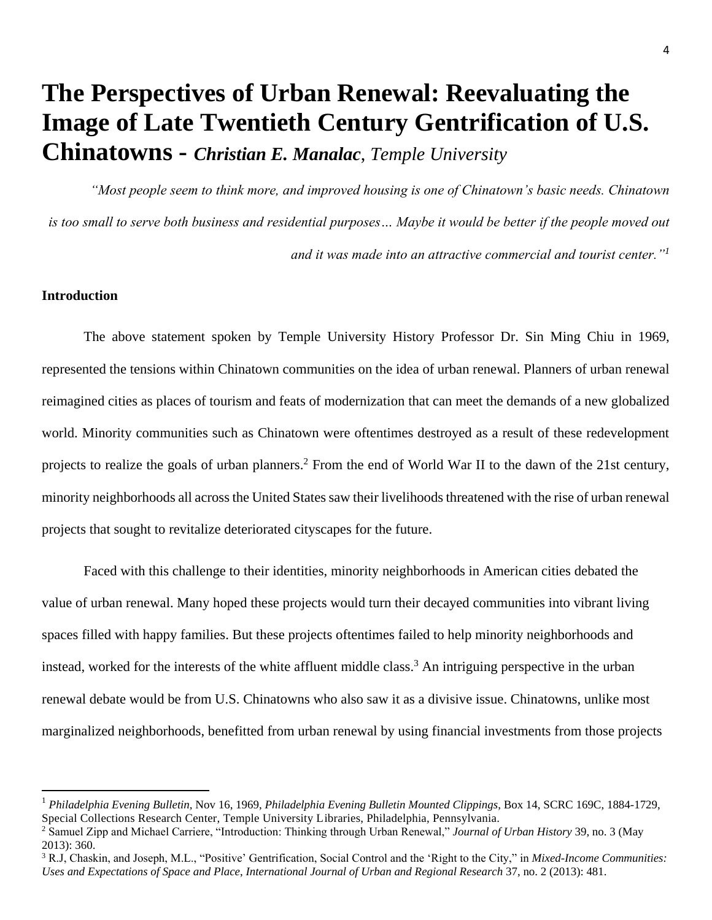# **The Perspectives of Urban Renewal: Reevaluating the Image of Late Twentieth Century Gentrification of U.S. Chinatowns -** *Christian E. Manalac*, *Temple University*

*"Most people seem to think more, and improved housing is one of Chinatown's basic needs. Chinatown is too small to serve both business and residential purposes… Maybe it would be better if the people moved out and it was made into an attractive commercial and tourist center."<sup>1</sup>*

#### **Introduction**

 $\overline{\phantom{a}}$ 

The above statement spoken by Temple University History Professor Dr. Sin Ming Chiu in 1969, represented the tensions within Chinatown communities on the idea of urban renewal. Planners of urban renewal reimagined cities as places of tourism and feats of modernization that can meet the demands of a new globalized world. Minority communities such as Chinatown were oftentimes destroyed as a result of these redevelopment projects to realize the goals of urban planners.<sup>2</sup> From the end of World War II to the dawn of the 21st century, minority neighborhoods all across the United States saw their livelihoods threatened with the rise of urban renewal projects that sought to revitalize deteriorated cityscapes for the future.

Faced with this challenge to their identities, minority neighborhoods in American cities debated the value of urban renewal. Many hoped these projects would turn their decayed communities into vibrant living spaces filled with happy families. But these projects oftentimes failed to help minority neighborhoods and instead, worked for the interests of the white affluent middle class.<sup>3</sup> An intriguing perspective in the urban renewal debate would be from U.S. Chinatowns who also saw it as a divisive issue. Chinatowns, unlike most marginalized neighborhoods, benefitted from urban renewal by using financial investments from those projects

<sup>1</sup> *Philadelphia Evening Bulletin,* Nov 16, 1969, *Philadelphia Evening Bulletin Mounted Clippings*, Box 14, SCRC 169C, 1884-1729, Special Collections Research Center, Temple University Libraries, Philadelphia, Pennsylvania.

<sup>2</sup> Samuel Zipp and Michael Carriere, "Introduction: Thinking through Urban Renewal," *Journal of Urban History* 39, no. 3 (May 2013): 360.

<sup>3</sup> R.J, Chaskin, and Joseph, M.L., "Positive' Gentrification, Social Control and the 'Right to the City," in *Mixed-Income Communities: Uses and Expectations of Space and Place*, *International Journal of Urban and Regional Research* 37, no. 2 (2013): 481.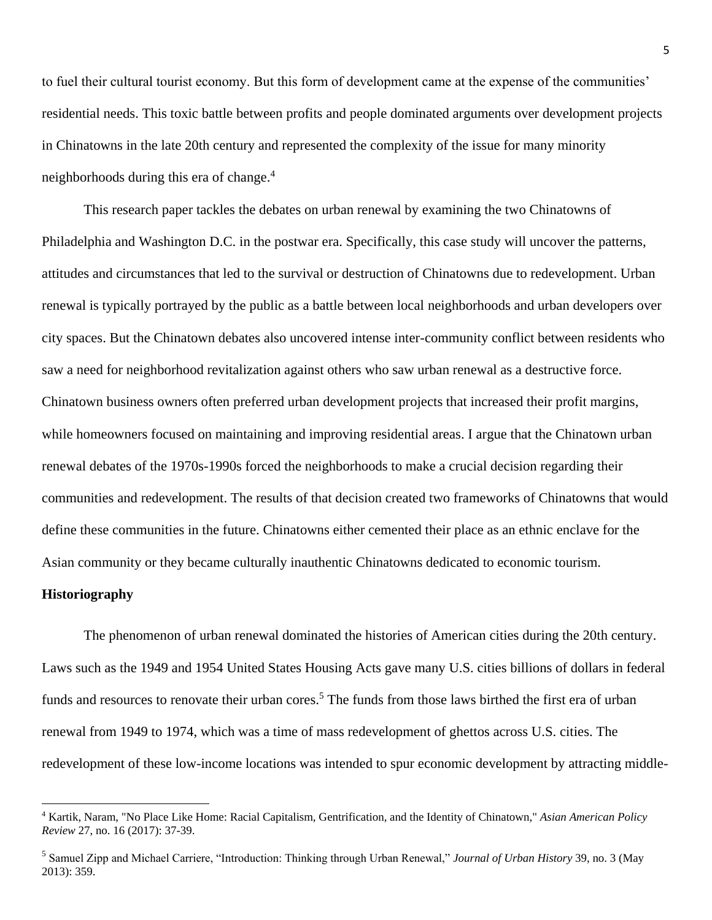to fuel their cultural tourist economy. But this form of development came at the expense of the communities' residential needs. This toxic battle between profits and people dominated arguments over development projects in Chinatowns in the late 20th century and represented the complexity of the issue for many minority neighborhoods during this era of change.<sup>4</sup>

This research paper tackles the debates on urban renewal by examining the two Chinatowns of Philadelphia and Washington D.C. in the postwar era. Specifically, this case study will uncover the patterns, attitudes and circumstances that led to the survival or destruction of Chinatowns due to redevelopment. Urban renewal is typically portrayed by the public as a battle between local neighborhoods and urban developers over city spaces. But the Chinatown debates also uncovered intense inter-community conflict between residents who saw a need for neighborhood revitalization against others who saw urban renewal as a destructive force. Chinatown business owners often preferred urban development projects that increased their profit margins, while homeowners focused on maintaining and improving residential areas. I argue that the Chinatown urban renewal debates of the 1970s-1990s forced the neighborhoods to make a crucial decision regarding their communities and redevelopment. The results of that decision created two frameworks of Chinatowns that would define these communities in the future. Chinatowns either cemented their place as an ethnic enclave for the Asian community or they became culturally inauthentic Chinatowns dedicated to economic tourism.

#### **Historiography**

 $\overline{\phantom{a}}$ 

The phenomenon of urban renewal dominated the histories of American cities during the 20th century. Laws such as the 1949 and 1954 United States Housing Acts gave many U.S. cities billions of dollars in federal funds and resources to renovate their urban cores.<sup>5</sup> The funds from those laws birthed the first era of urban renewal from 1949 to 1974, which was a time of mass redevelopment of ghettos across U.S. cities. The redevelopment of these low-income locations was intended to spur economic development by attracting middle-

<sup>4</sup> Kartik, Naram, "No Place Like Home: Racial Capitalism, Gentrification, and the Identity of Chinatown," *Asian American Policy Review* 27, no. 16 (2017): 37-39.

<sup>5</sup> Samuel Zipp and Michael Carriere, "Introduction: Thinking through Urban Renewal," *Journal of Urban History* 39, no. 3 (May 2013): 359.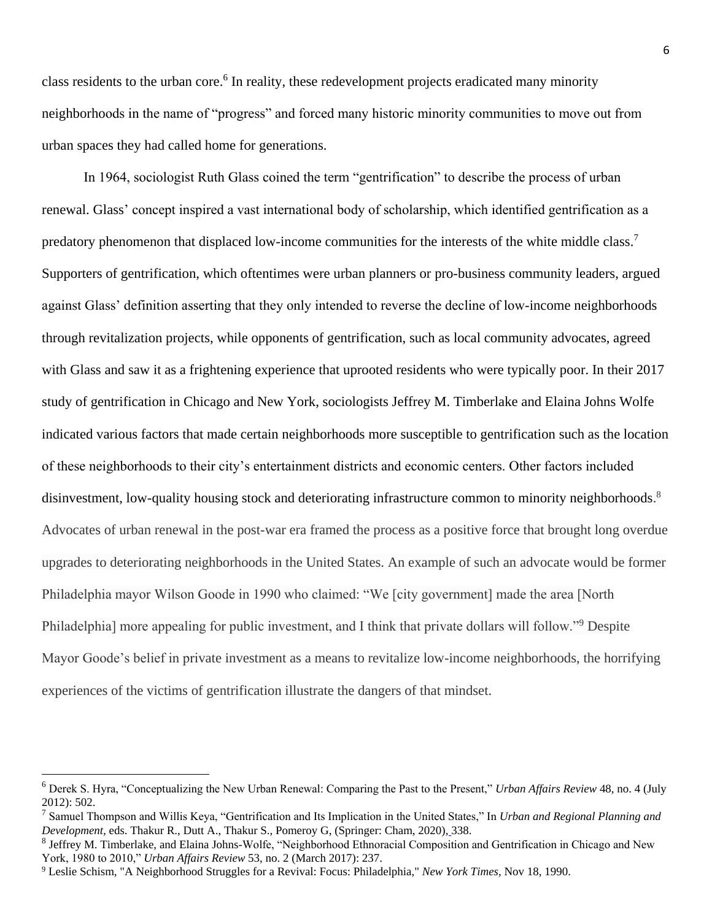class residents to the urban core.<sup>6</sup> In reality, these redevelopment projects eradicated many minority neighborhoods in the name of "progress" and forced many historic minority communities to move out from urban spaces they had called home for generations.

In 1964, sociologist Ruth Glass coined the term "gentrification" to describe the process of urban renewal. Glass' concept inspired a vast international body of scholarship, which identified gentrification as a predatory phenomenon that displaced low-income communities for the interests of the white middle class.<sup>7</sup> Supporters of gentrification, which oftentimes were urban planners or pro-business community leaders, argued against Glass' definition asserting that they only intended to reverse the decline of low-income neighborhoods through revitalization projects, while opponents of gentrification, such as local community advocates, agreed with Glass and saw it as a frightening experience that uprooted residents who were typically poor. In their 2017 study of gentrification in Chicago and New York, sociologists Jeffrey M. Timberlake and Elaina Johns Wolfe indicated various factors that made certain neighborhoods more susceptible to gentrification such as the location of these neighborhoods to their city's entertainment districts and economic centers. Other factors included disinvestment, low-quality housing stock and deteriorating infrastructure common to minority neighborhoods.<sup>8</sup> Advocates of urban renewal in the post-war era framed the process as a positive force that brought long overdue upgrades to deteriorating neighborhoods in the United States. An example of such an advocate would be former Philadelphia mayor Wilson Goode in 1990 who claimed: "We [city government] made the area [North Philadelphia] more appealing for public investment, and I think that private dollars will follow."<sup>9</sup> Despite Mayor Goode's belief in private investment as a means to revitalize low-income neighborhoods, the horrifying experiences of the victims of gentrification illustrate the dangers of that mindset.

<sup>6</sup> Derek S. Hyra, "Conceptualizing the New Urban Renewal: Comparing the Past to the Present," *Urban Affairs Review* 48, no. 4 (July 2012): 502.

<sup>7</sup> Samuel Thompson and Willis Keya, "Gentrification and Its Implication in the United States," In *Urban and Regional Planning and Development,* eds. Thakur R., Dutt A., Thakur S., Pomeroy G, (Springer: Cham, 2020), 338.

<sup>&</sup>lt;sup>8</sup> Jeffrey M. Timberlake, and Elaina Johns-Wolfe, "Neighborhood Ethnoracial Composition and Gentrification in Chicago and New York, 1980 to 2010," *Urban Affairs Review* 53, no. 2 (March 2017): 237.

<sup>9</sup> Leslie Schism, "A Neighborhood Struggles for a Revival: Focus: Philadelphia," *New York Times,* Nov 18, 1990.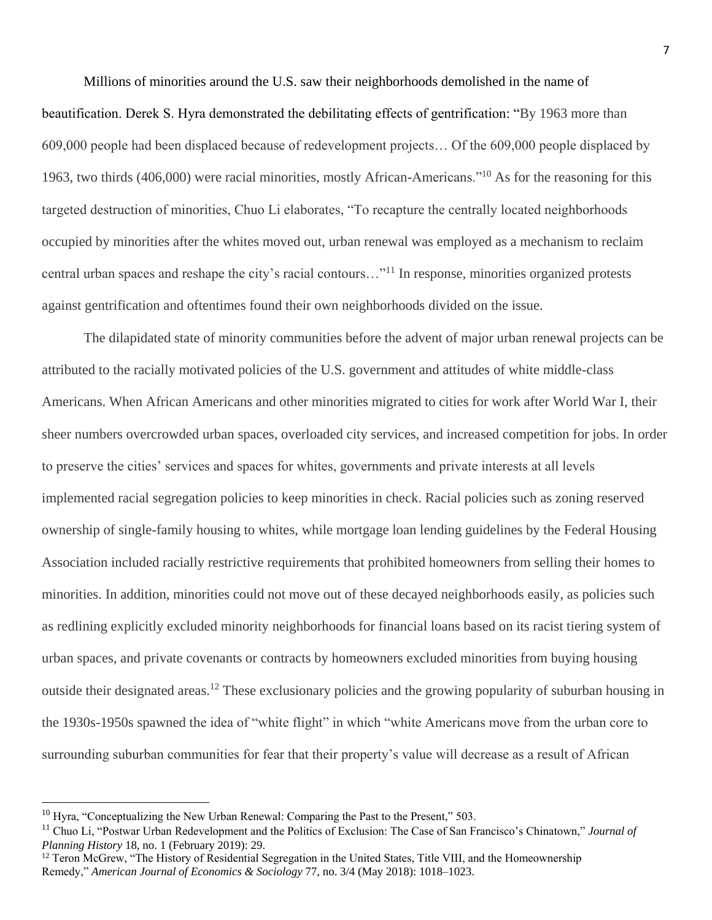Millions of minorities around the U.S. saw their neighborhoods demolished in the name of beautification. Derek S. Hyra demonstrated the debilitating effects of gentrification: "By 1963 more than 609,000 people had been displaced because of redevelopment projects… Of the 609,000 people displaced by 1963, two thirds (406,000) were racial minorities, mostly African-Americans."<sup>10</sup> As for the reasoning for this targeted destruction of minorities, Chuo Li elaborates, "To recapture the centrally located neighborhoods occupied by minorities after the whites moved out, urban renewal was employed as a mechanism to reclaim central urban spaces and reshape the city's racial contours…"<sup>11</sup> In response, minorities organized protests against gentrification and oftentimes found their own neighborhoods divided on the issue.

The dilapidated state of minority communities before the advent of major urban renewal projects can be attributed to the racially motivated policies of the U.S. government and attitudes of white middle-class Americans. When African Americans and other minorities migrated to cities for work after World War I, their sheer numbers overcrowded urban spaces, overloaded city services, and increased competition for jobs. In order to preserve the cities' services and spaces for whites, governments and private interests at all levels implemented racial segregation policies to keep minorities in check. Racial policies such as zoning reserved ownership of single-family housing to whites, while mortgage loan lending guidelines by the Federal Housing Association included racially restrictive requirements that prohibited homeowners from selling their homes to minorities. In addition, minorities could not move out of these decayed neighborhoods easily, as policies such as redlining explicitly excluded minority neighborhoods for financial loans based on its racist tiering system of urban spaces, and private covenants or contracts by homeowners excluded minorities from buying housing outside their designated areas.<sup>12</sup> These exclusionary policies and the growing popularity of suburban housing in the 1930s-1950s spawned the idea of "white flight" in which "white Americans move from the urban core to surrounding suburban communities for fear that their property's value will decrease as a result of African

 $\overline{a}$ 

 $10$  Hyra, "Conceptualizing the New Urban Renewal: Comparing the Past to the Present," 503.

<sup>11</sup> Chuo Li, "Postwar Urban Redevelopment and the Politics of Exclusion: The Case of San Francisco's Chinatown," *Journal of Planning History* 18, no. 1 (February 2019): 29.

 $12$  Teron McGrew, "The History of Residential Segregation in the United States, Title VIII, and the Homeownership Remedy," *American Journal of Economics & Sociology* 77, no. 3/4 (May 2018): 1018–1023.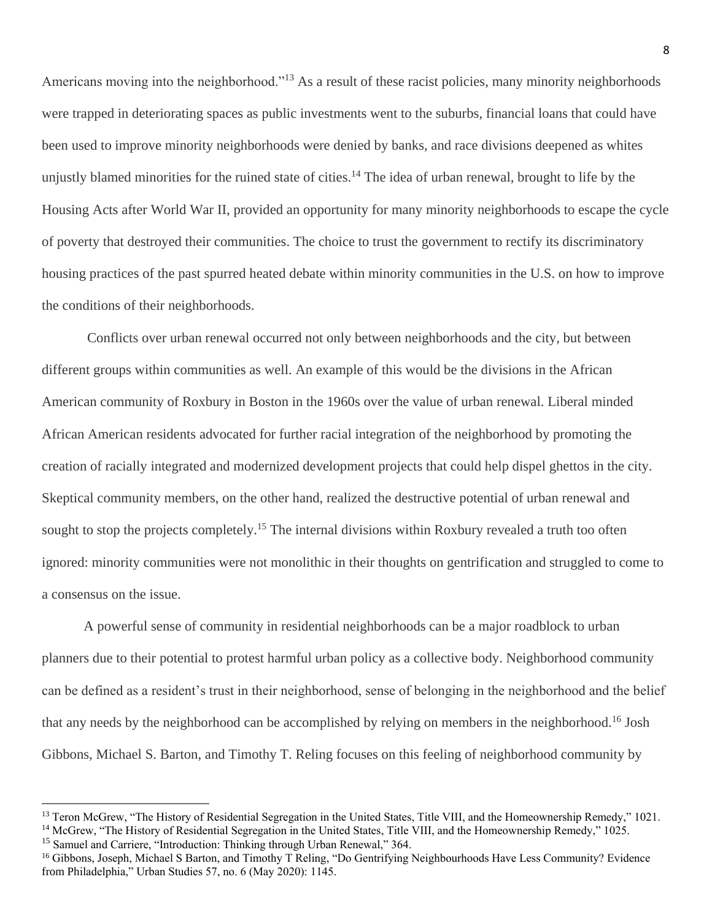Americans moving into the neighborhood."<sup>13</sup> As a result of these racist policies, many minority neighborhoods were trapped in deteriorating spaces as public investments went to the suburbs, financial loans that could have been used to improve minority neighborhoods were denied by banks, and race divisions deepened as whites unjustly blamed minorities for the ruined state of cities.<sup>14</sup> The idea of urban renewal, brought to life by the Housing Acts after World War II, provided an opportunity for many minority neighborhoods to escape the cycle of poverty that destroyed their communities. The choice to trust the government to rectify its discriminatory housing practices of the past spurred heated debate within minority communities in the U.S. on how to improve the conditions of their neighborhoods.

Conflicts over urban renewal occurred not only between neighborhoods and the city, but between different groups within communities as well. An example of this would be the divisions in the African American community of Roxbury in Boston in the 1960s over the value of urban renewal. Liberal minded African American residents advocated for further racial integration of the neighborhood by promoting the creation of racially integrated and modernized development projects that could help dispel ghettos in the city. Skeptical community members, on the other hand, realized the destructive potential of urban renewal and sought to stop the projects completely.<sup>15</sup> The internal divisions within Roxbury revealed a truth too often ignored: minority communities were not monolithic in their thoughts on gentrification and struggled to come to a consensus on the issue.

A powerful sense of community in residential neighborhoods can be a major roadblock to urban planners due to their potential to protest harmful urban policy as a collective body. Neighborhood community can be defined as a resident's trust in their neighborhood, sense of belonging in the neighborhood and the belief that any needs by the neighborhood can be accomplished by relying on members in the neighborhood.<sup>16</sup> Josh Gibbons, Michael S. Barton, and Timothy T. Reling focuses on this feeling of neighborhood community by

<sup>&</sup>lt;sup>13</sup> Teron McGrew, "The History of Residential Segregation in the United States, Title VIII, and the Homeownership Remedy," 1021. <sup>14</sup> McGrew, "The History of Residential Segregation in the United States, Title VIII, and the Homeownership Remedy," 1025.

<sup>&</sup>lt;sup>15</sup> Samuel and Carriere, "Introduction: Thinking through Urban Renewal," 364.

<sup>&</sup>lt;sup>16</sup> Gibbons, Joseph, Michael S Barton, and Timothy T Reling, "Do Gentrifying Neighbourhoods Have Less Community? Evidence from Philadelphia," Urban Studies 57, no. 6 (May 2020): 1145.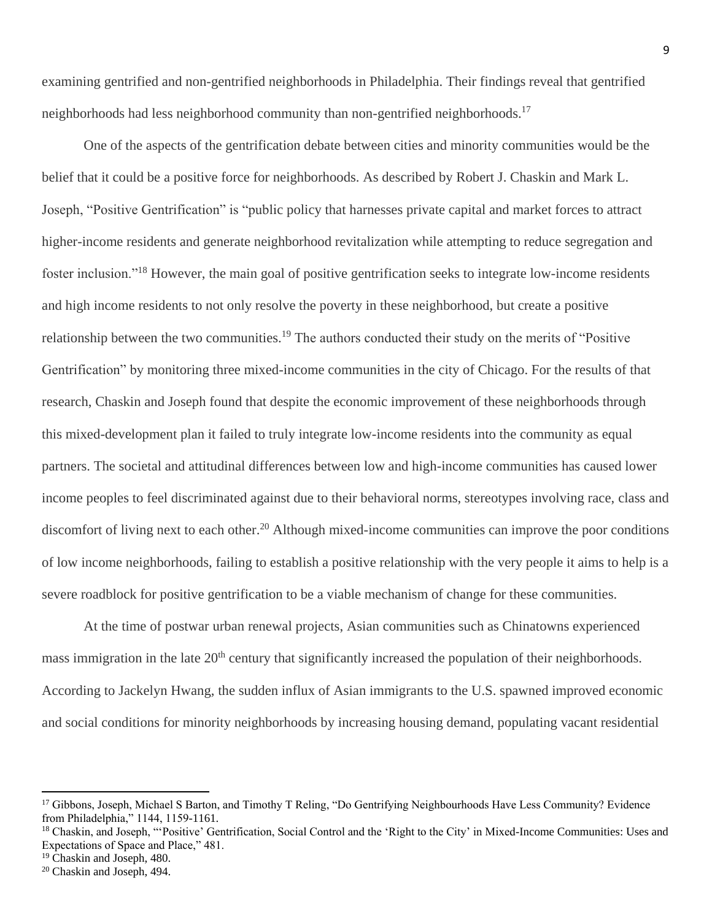examining gentrified and non-gentrified neighborhoods in Philadelphia. Their findings reveal that gentrified neighborhoods had less neighborhood community than non-gentrified neighborhoods.<sup>17</sup>

One of the aspects of the gentrification debate between cities and minority communities would be the belief that it could be a positive force for neighborhoods. As described by Robert J. Chaskin and Mark L. Joseph, "Positive Gentrification" is "public policy that harnesses private capital and market forces to attract higher-income residents and generate neighborhood revitalization while attempting to reduce segregation and foster inclusion."<sup>18</sup> However, the main goal of positive gentrification seeks to integrate low-income residents and high income residents to not only resolve the poverty in these neighborhood, but create a positive relationship between the two communities.<sup>19</sup> The authors conducted their study on the merits of "Positive" Gentrification" by monitoring three mixed-income communities in the city of Chicago. For the results of that research, Chaskin and Joseph found that despite the economic improvement of these neighborhoods through this mixed-development plan it failed to truly integrate low-income residents into the community as equal partners. The societal and attitudinal differences between low and high-income communities has caused lower income peoples to feel discriminated against due to their behavioral norms, stereotypes involving race, class and discomfort of living next to each other.<sup>20</sup> Although mixed-income communities can improve the poor conditions of low income neighborhoods, failing to establish a positive relationship with the very people it aims to help is a severe roadblock for positive gentrification to be a viable mechanism of change for these communities.

At the time of postwar urban renewal projects, Asian communities such as Chinatowns experienced mass immigration in the late 20<sup>th</sup> century that significantly increased the population of their neighborhoods. According to Jackelyn Hwang, the sudden influx of Asian immigrants to the U.S. spawned improved economic and social conditions for minority neighborhoods by increasing housing demand, populating vacant residential

<sup>&</sup>lt;sup>17</sup> Gibbons, Joseph, Michael S Barton, and Timothy T Reling, "Do Gentrifying Neighbourhoods Have Less Community? Evidence from Philadelphia," 1144, 1159-1161.

<sup>&</sup>lt;sup>18</sup> Chaskin, and Joseph, "'Positive' Gentrification, Social Control and the 'Right to the City' in Mixed-Income Communities: Uses and Expectations of Space and Place," 481.

<sup>&</sup>lt;sup>19</sup> Chaskin and Joseph, 480.

<sup>20</sup> Chaskin and Joseph, 494.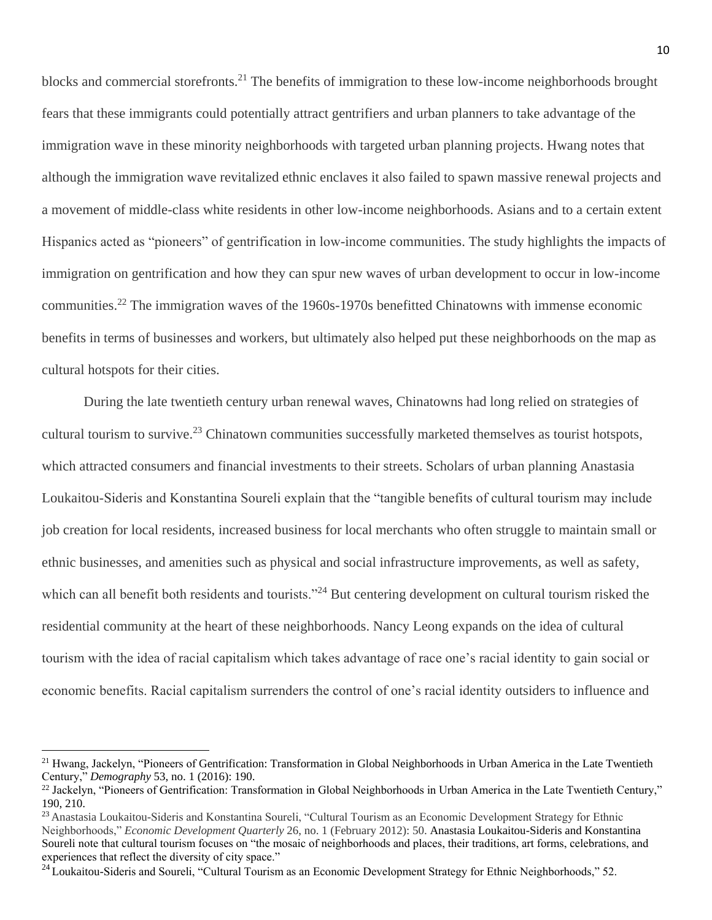blocks and commercial storefronts.<sup>21</sup> The benefits of immigration to these low-income neighborhoods brought fears that these immigrants could potentially attract gentrifiers and urban planners to take advantage of the immigration wave in these minority neighborhoods with targeted urban planning projects. Hwang notes that although the immigration wave revitalized ethnic enclaves it also failed to spawn massive renewal projects and a movement of middle-class white residents in other low-income neighborhoods. Asians and to a certain extent Hispanics acted as "pioneers" of gentrification in low-income communities. The study highlights the impacts of immigration on gentrification and how they can spur new waves of urban development to occur in low-income communities.<sup>22</sup> The immigration waves of the 1960s-1970s benefitted Chinatowns with immense economic benefits in terms of businesses and workers, but ultimately also helped put these neighborhoods on the map as cultural hotspots for their cities.

During the late twentieth century urban renewal waves, Chinatowns had long relied on strategies of cultural tourism to survive.<sup>23</sup> Chinatown communities successfully marketed themselves as tourist hotspots, which attracted consumers and financial investments to their streets. Scholars of urban planning Anastasia Loukaitou-Sideris and Konstantina Soureli explain that the "tangible benefits of cultural tourism may include job creation for local residents, increased business for local merchants who often struggle to maintain small or ethnic businesses, and amenities such as physical and social infrastructure improvements, as well as safety, which can all benefit both residents and tourists."<sup>24</sup> But centering development on cultural tourism risked the residential community at the heart of these neighborhoods. Nancy Leong expands on the idea of cultural tourism with the idea of racial capitalism which takes advantage of race one's racial identity to gain social or economic benefits. Racial capitalism surrenders the control of one's racial identity outsiders to influence and

<sup>&</sup>lt;sup>21</sup> Hwang, Jackelyn, "Pioneers of Gentrification: Transformation in Global Neighborhoods in Urban America in the Late Twentieth Century," *Demography* 53, no. 1 (2016): 190.

<sup>&</sup>lt;sup>22</sup> Jackelyn, "Pioneers of Gentrification: Transformation in Global Neighborhoods in Urban America in the Late Twentieth Century," 190, 210.

<sup>&</sup>lt;sup>23</sup> Anastasia Loukaitou-Sideris and Konstantina Soureli, "Cultural Tourism as an Economic Development Strategy for Ethnic Neighborhoods," *Economic Development Quarterly* 26, no. 1 (February 2012): 50. Anastasia Loukaitou-Sideris and Konstantina Soureli note that cultural tourism focuses on "the mosaic of neighborhoods and places, their traditions, art forms, celebrations, and experiences that reflect the diversity of city space."

 $^{24}$  Loukaitou-Sideris and Soureli, "Cultural Tourism as an Economic Development Strategy for Ethnic Neighborhoods," 52.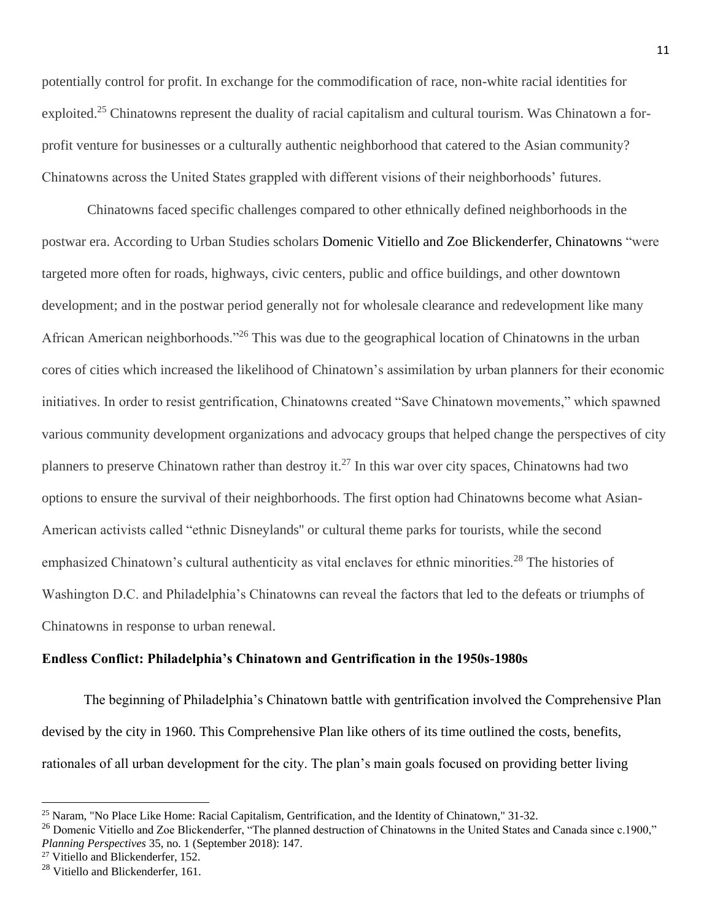potentially control for profit. In exchange for the commodification of race, non-white racial identities for exploited.<sup>25</sup> Chinatowns represent the duality of racial capitalism and cultural tourism. Was Chinatown a forprofit venture for businesses or a culturally authentic neighborhood that catered to the Asian community? Chinatowns across the United States grappled with different visions of their neighborhoods' futures.

Chinatowns faced specific challenges compared to other ethnically defined neighborhoods in the postwar era. According to Urban Studies scholars Domenic Vitiello and Zoe Blickenderfer, Chinatowns "were targeted more often for roads, highways, civic centers, public and office buildings, and other downtown development; and in the postwar period generally not for wholesale clearance and redevelopment like many African American neighborhoods."<sup>26</sup> This was due to the geographical location of Chinatowns in the urban cores of cities which increased the likelihood of Chinatown's assimilation by urban planners for their economic initiatives. In order to resist gentrification, Chinatowns created "Save Chinatown movements," which spawned various community development organizations and advocacy groups that helped change the perspectives of city planners to preserve Chinatown rather than destroy it.<sup>27</sup> In this war over city spaces, Chinatowns had two options to ensure the survival of their neighborhoods. The first option had Chinatowns become what Asian-American activists called "ethnic Disneylands'' or cultural theme parks for tourists, while the second emphasized Chinatown's cultural authenticity as vital enclaves for ethnic minorities.<sup>28</sup> The histories of Washington D.C. and Philadelphia's Chinatowns can reveal the factors that led to the defeats or triumphs of Chinatowns in response to urban renewal.

#### **Endless Conflict: Philadelphia's Chinatown and Gentrification in the 1950s-1980s**

The beginning of Philadelphia's Chinatown battle with gentrification involved the Comprehensive Plan devised by the city in 1960. This Comprehensive Plan like others of its time outlined the costs, benefits, rationales of all urban development for the city. The plan's main goals focused on providing better living

 $\overline{a}$ 

<sup>25</sup> Naram, "No Place Like Home: Racial Capitalism, Gentrification, and the Identity of Chinatown," 31-32.

 $^{26}$  Domenic Vitiello and Zoe Blickenderfer, "The planned destruction of Chinatowns in the United States and Canada since c.1900," *Planning Perspectives* 35, no. 1 (September 2018): 147.

<sup>&</sup>lt;sup>27</sup> Vitiello and Blickenderfer, 152.

<sup>&</sup>lt;sup>28</sup> Vitiello and Blickenderfer, 161.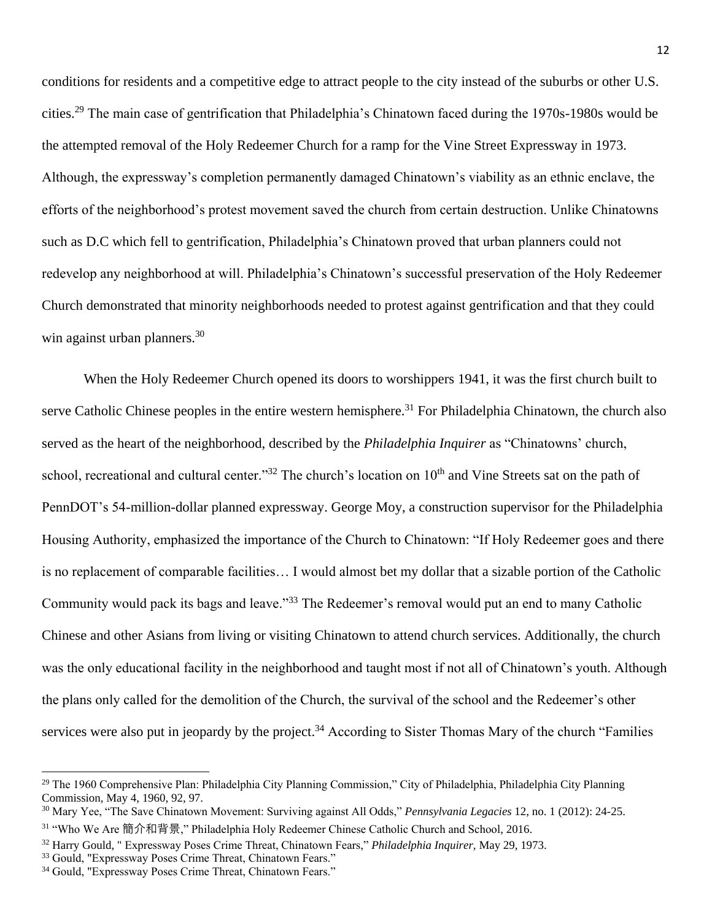conditions for residents and a competitive edge to attract people to the city instead of the suburbs or other U.S. cities.<sup>29</sup> The main case of gentrification that Philadelphia's Chinatown faced during the 1970s-1980s would be the attempted removal of the Holy Redeemer Church for a ramp for the Vine Street Expressway in 1973. Although, the expressway's completion permanently damaged Chinatown's viability as an ethnic enclave, the efforts of the neighborhood's protest movement saved the church from certain destruction. Unlike Chinatowns such as D.C which fell to gentrification, Philadelphia's Chinatown proved that urban planners could not redevelop any neighborhood at will. Philadelphia's Chinatown's successful preservation of the Holy Redeemer Church demonstrated that minority neighborhoods needed to protest against gentrification and that they could win against urban planners. $30$ 

When the Holy Redeemer Church opened its doors to worshippers 1941, it was the first church built to serve Catholic Chinese peoples in the entire western hemisphere.<sup>31</sup> For Philadelphia Chinatown, the church also served as the heart of the neighborhood, described by the *Philadelphia Inquirer* as "Chinatowns' church, school, recreational and cultural center."<sup>32</sup> The church's location on 10<sup>th</sup> and Vine Streets sat on the path of PennDOT's 54-million-dollar planned expressway. George Moy, a construction supervisor for the Philadelphia Housing Authority, emphasized the importance of the Church to Chinatown: "If Holy Redeemer goes and there is no replacement of comparable facilities… I would almost bet my dollar that a sizable portion of the Catholic Community would pack its bags and leave."<sup>33</sup> The Redeemer's removal would put an end to many Catholic Chinese and other Asians from living or visiting Chinatown to attend church services. Additionally, the church was the only educational facility in the neighborhood and taught most if not all of Chinatown's youth. Although the plans only called for the demolition of the Church, the survival of the school and the Redeemer's other services were also put in jeopardy by the project.<sup>34</sup> According to Sister Thomas Mary of the church "Families"

<sup>&</sup>lt;sup>29</sup> The 1960 Comprehensive Plan: Philadelphia City Planning Commission," City of Philadelphia, Philadelphia City Planning Commission, May 4, 1960, 92, 97.

<sup>30</sup> Mary Yee, "The Save Chinatown Movement: Surviving against All Odds," *Pennsylvania Legacies* 12, no. 1 (2012): 24-25. <sup>31</sup> "Who We Are 簡介和背景," Philadelphia Holy Redeemer Chinese Catholic Church and School, 2016.

<sup>32</sup> Harry Gould, " Expressway Poses Crime Threat, Chinatown Fears," *Philadelphia Inquirer,* May 29, 1973.

<sup>33</sup> Gould, "Expressway Poses Crime Threat, Chinatown Fears."

<sup>34</sup> Gould, "Expressway Poses Crime Threat, Chinatown Fears."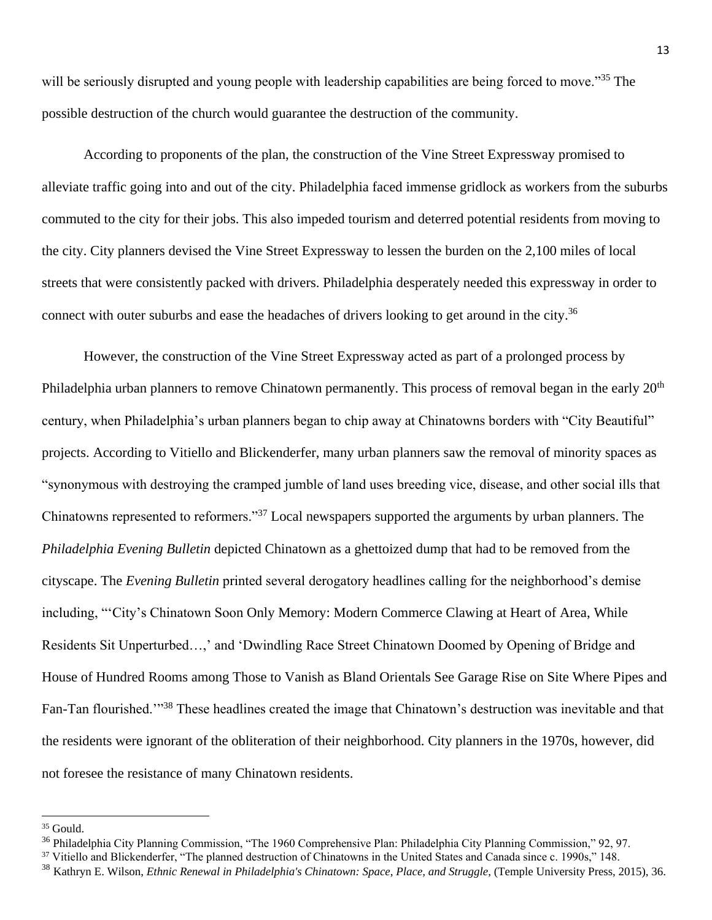will be seriously disrupted and young people with leadership capabilities are being forced to move."<sup>35</sup> The possible destruction of the church would guarantee the destruction of the community.

According to proponents of the plan, the construction of the Vine Street Expressway promised to alleviate traffic going into and out of the city. Philadelphia faced immense gridlock as workers from the suburbs commuted to the city for their jobs. This also impeded tourism and deterred potential residents from moving to the city. City planners devised the Vine Street Expressway to lessen the burden on the 2,100 miles of local streets that were consistently packed with drivers. Philadelphia desperately needed this expressway in order to connect with outer suburbs and ease the headaches of drivers looking to get around in the city.<sup>36</sup>

However, the construction of the Vine Street Expressway acted as part of a prolonged process by Philadelphia urban planners to remove Chinatown permanently. This process of removal began in the early 20<sup>th</sup> century, when Philadelphia's urban planners began to chip away at Chinatowns borders with "City Beautiful" projects. According to Vitiello and Blickenderfer, many urban planners saw the removal of minority spaces as "synonymous with destroying the cramped jumble of land uses breeding vice, disease, and other social ills that Chinatowns represented to reformers."<sup>37</sup> Local newspapers supported the arguments by urban planners. The *Philadelphia Evening Bulletin* depicted Chinatown as a ghettoized dump that had to be removed from the cityscape. The *Evening Bulletin* printed several derogatory headlines calling for the neighborhood's demise including, "'City's Chinatown Soon Only Memory: Modern Commerce Clawing at Heart of Area, While Residents Sit Unperturbed…,' and 'Dwindling Race Street Chinatown Doomed by Opening of Bridge and House of Hundred Rooms among Those to Vanish as Bland Orientals See Garage Rise on Site Where Pipes and Fan-Tan flourished.'"<sup>38</sup> These headlines created the image that Chinatown's destruction was inevitable and that the residents were ignorant of the obliteration of their neighborhood. City planners in the 1970s, however, did not foresee the resistance of many Chinatown residents.

<sup>35</sup> Gould.

<sup>&</sup>lt;sup>36</sup> Philadelphia City Planning Commission, "The 1960 Comprehensive Plan: Philadelphia City Planning Commission," 92, 97.

<sup>&</sup>lt;sup>37</sup> Vitiello and Blickenderfer, "The planned destruction of Chinatowns in the United States and Canada since c. 1990s," 148.

<sup>38</sup> Kathryn E. Wilson, *Ethnic Renewal in Philadelphia's Chinatown: Space, Place, and Struggle*, (Temple University Press, 2015), 36.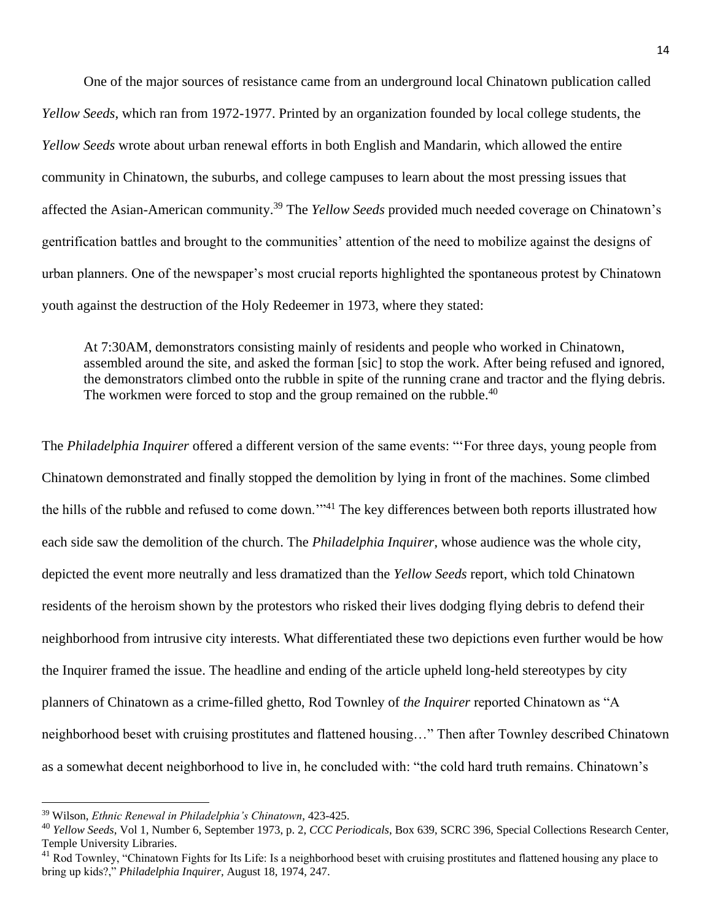One of the major sources of resistance came from an underground local Chinatown publication called *Yellow Seeds*, which ran from 1972-1977. Printed by an organization founded by local college students, the *Yellow Seeds* wrote about urban renewal efforts in both English and Mandarin, which allowed the entire community in Chinatown, the suburbs, and college campuses to learn about the most pressing issues that affected the Asian-American community.<sup>39</sup> The *Yellow Seeds* provided much needed coverage on Chinatown's gentrification battles and brought to the communities' attention of the need to mobilize against the designs of urban planners. One of the newspaper's most crucial reports highlighted the spontaneous protest by Chinatown youth against the destruction of the Holy Redeemer in 1973, where they stated:

At 7:30AM, demonstrators consisting mainly of residents and people who worked in Chinatown, assembled around the site, and asked the forman [sic] to stop the work. After being refused and ignored, the demonstrators climbed onto the rubble in spite of the running crane and tractor and the flying debris. The workmen were forced to stop and the group remained on the rubble.<sup>40</sup>

The *Philadelphia Inquirer* offered a different version of the same events: "'For three days, young people from Chinatown demonstrated and finally stopped the demolition by lying in front of the machines. Some climbed the hills of the rubble and refused to come down."<sup>41</sup> The key differences between both reports illustrated how each side saw the demolition of the church. The *Philadelphia Inquirer*, whose audience was the whole city, depicted the event more neutrally and less dramatized than the *Yellow Seeds* report, which told Chinatown residents of the heroism shown by the protestors who risked their lives dodging flying debris to defend their neighborhood from intrusive city interests. What differentiated these two depictions even further would be how the Inquirer framed the issue. The headline and ending of the article upheld long-held stereotypes by city planners of Chinatown as a crime-filled ghetto, Rod Townley of *the Inquirer* reported Chinatown as "A neighborhood beset with cruising prostitutes and flattened housing…" Then after Townley described Chinatown as a somewhat decent neighborhood to live in, he concluded with: "the cold hard truth remains. Chinatown's

 $\overline{a}$ 

<sup>39</sup> Wilson, *Ethnic Renewal in Philadelphia's Chinatown*, 423-425.

<sup>40</sup> *Yellow Seeds*, Vol 1, Number 6, September 1973, p. 2, *CCC Periodicals*, Box 639, SCRC 396, Special Collections Research Center, Temple University Libraries.

 $^{41}$  Rod Townley, "Chinatown Fights for Its Life: Is a neighborhood beset with cruising prostitutes and flattened housing any place to bring up kids?," *Philadelphia Inquirer,* August 18, 1974, 247.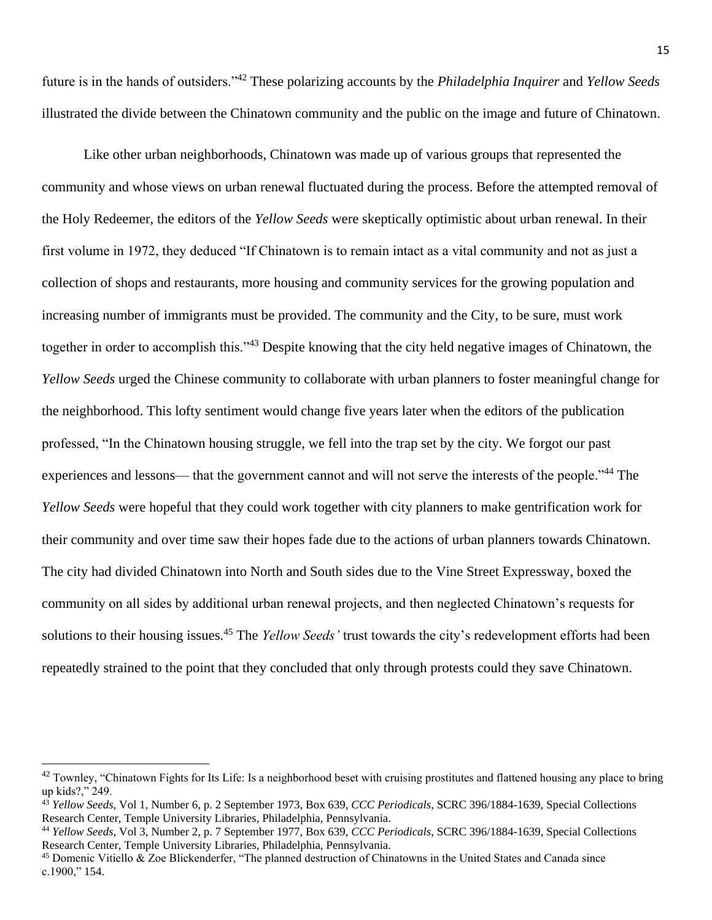future is in the hands of outsiders."<sup>42</sup> These polarizing accounts by the *Philadelphia Inquirer* and *Yellow Seeds* illustrated the divide between the Chinatown community and the public on the image and future of Chinatown.

Like other urban neighborhoods, Chinatown was made up of various groups that represented the community and whose views on urban renewal fluctuated during the process. Before the attempted removal of the Holy Redeemer, the editors of the *Yellow Seeds* were skeptically optimistic about urban renewal. In their first volume in 1972, they deduced "If Chinatown is to remain intact as a vital community and not as just a collection of shops and restaurants, more housing and community services for the growing population and increasing number of immigrants must be provided. The community and the City, to be sure, must work together in order to accomplish this."<sup>43</sup> Despite knowing that the city held negative images of Chinatown, the *Yellow Seeds* urged the Chinese community to collaborate with urban planners to foster meaningful change for the neighborhood. This lofty sentiment would change five years later when the editors of the publication professed, "In the Chinatown housing struggle, we fell into the trap set by the city. We forgot our past experiences and lessons— that the government cannot and will not serve the interests of the people."<sup>44</sup> The *Yellow Seeds* were hopeful that they could work together with city planners to make gentrification work for their community and over time saw their hopes fade due to the actions of urban planners towards Chinatown. The city had divided Chinatown into North and South sides due to the Vine Street Expressway, boxed the community on all sides by additional urban renewal projects, and then neglected Chinatown's requests for solutions to their housing issues.<sup>45</sup> The *Yellow Seeds'* trust towards the city's redevelopment efforts had been repeatedly strained to the point that they concluded that only through protests could they save Chinatown.

l

 $^{42}$  Townley, "Chinatown Fights for Its Life: Is a neighborhood beset with cruising prostitutes and flattened housing any place to bring up kids?," 249.

<sup>43</sup> *Yellow Seeds*, Vol 1, Number 6, p. 2 September 1973, Box 639, *CCC Periodicals*, SCRC 396/1884-1639, Special Collections Research Center, Temple University Libraries, Philadelphia, Pennsylvania.

<sup>44</sup> *Yellow Seeds*, Vol 3, Number 2, p. 7 September 1977, Box 639, *CCC Periodicals*, SCRC 396/1884-1639, Special Collections Research Center, Temple University Libraries, Philadelphia, Pennsylvania.

<sup>45</sup> Domenic Vitiello & Zoe Blickenderfer, "The planned destruction of Chinatowns in the United States and Canada since c.1900," 154.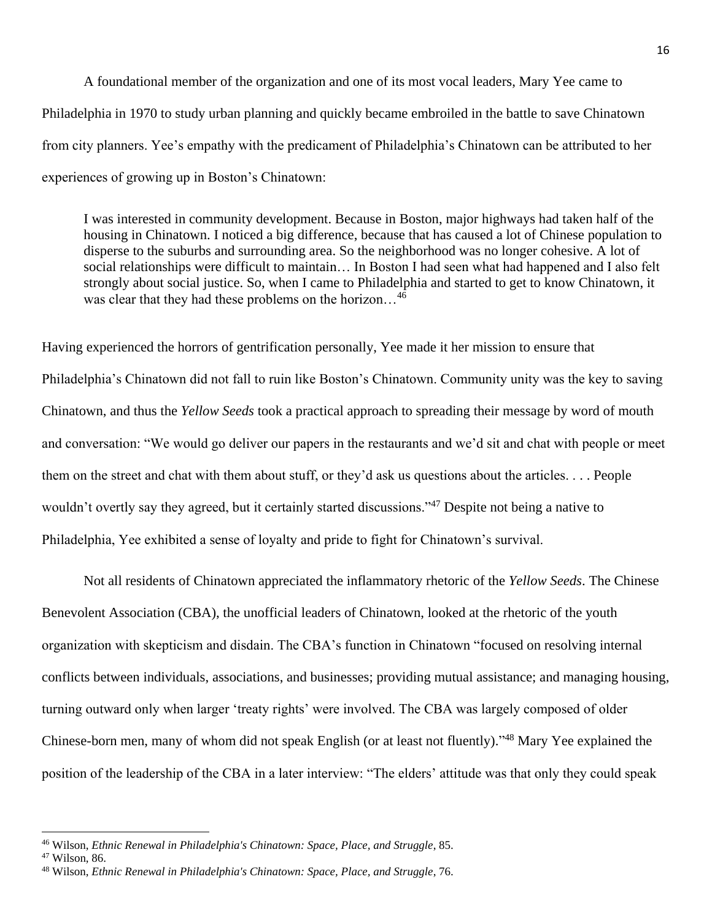A foundational member of the organization and one of its most vocal leaders, Mary Yee came to Philadelphia in 1970 to study urban planning and quickly became embroiled in the battle to save Chinatown from city planners. Yee's empathy with the predicament of Philadelphia's Chinatown can be attributed to her experiences of growing up in Boston's Chinatown:

I was interested in community development. Because in Boston, major highways had taken half of the housing in Chinatown. I noticed a big difference, because that has caused a lot of Chinese population to disperse to the suburbs and surrounding area. So the neighborhood was no longer cohesive. A lot of social relationships were difficult to maintain… In Boston I had seen what had happened and I also felt strongly about social justice. So, when I came to Philadelphia and started to get to know Chinatown, it was clear that they had these problems on the horizon...<sup>46</sup>

Having experienced the horrors of gentrification personally, Yee made it her mission to ensure that Philadelphia's Chinatown did not fall to ruin like Boston's Chinatown. Community unity was the key to saving Chinatown, and thus the *Yellow Seeds* took a practical approach to spreading their message by word of mouth and conversation: "We would go deliver our papers in the restaurants and we'd sit and chat with people or meet them on the street and chat with them about stuff, or they'd ask us questions about the articles. . . . People wouldn't overtly say they agreed, but it certainly started discussions."<sup>47</sup> Despite not being a native to Philadelphia, Yee exhibited a sense of loyalty and pride to fight for Chinatown's survival.

Not all residents of Chinatown appreciated the inflammatory rhetoric of the *Yellow Seeds*. The Chinese Benevolent Association (CBA), the unofficial leaders of Chinatown, looked at the rhetoric of the youth organization with skepticism and disdain. The CBA's function in Chinatown "focused on resolving internal conflicts between individuals, associations, and businesses; providing mutual assistance; and managing housing, turning outward only when larger 'treaty rights' were involved. The CBA was largely composed of older Chinese-born men, many of whom did not speak English (or at least not fluently)."<sup>48</sup> Mary Yee explained the position of the leadership of the CBA in a later interview: "The elders' attitude was that only they could speak

<sup>46</sup> Wilson, *Ethnic Renewal in Philadelphia's Chinatown: Space, Place, and Struggle*, 85.

<sup>47</sup> Wilson, 86.

<sup>48</sup> Wilson, *Ethnic Renewal in Philadelphia's Chinatown: Space, Place, and Struggle*, 76.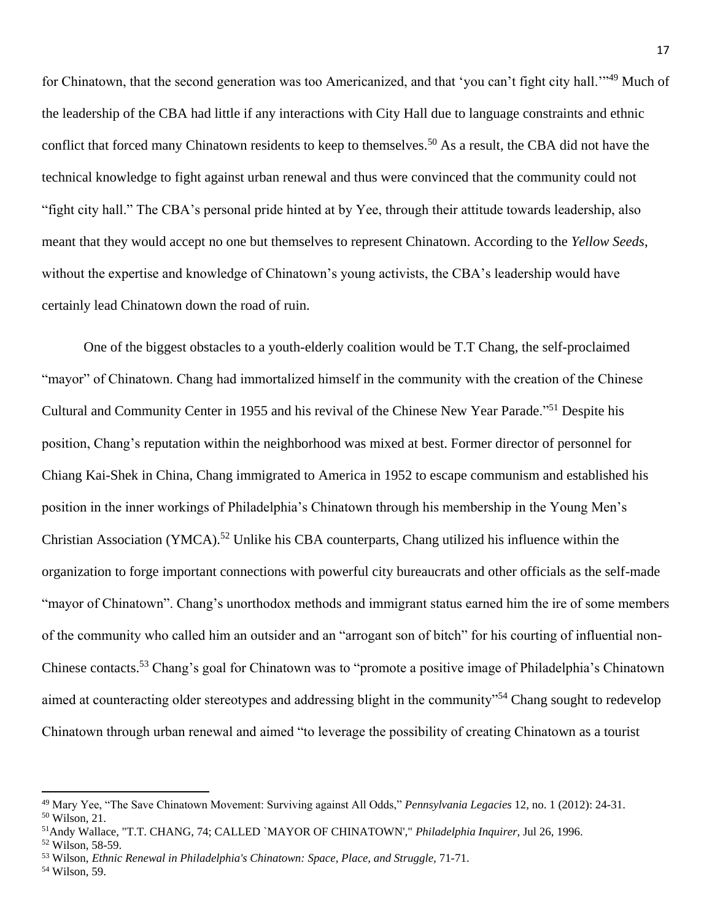for Chinatown, that the second generation was too Americanized, and that 'you can't fight city hall."<sup>49</sup> Much of the leadership of the CBA had little if any interactions with City Hall due to language constraints and ethnic conflict that forced many Chinatown residents to keep to themselves.<sup>50</sup> As a result, the CBA did not have the technical knowledge to fight against urban renewal and thus were convinced that the community could not "fight city hall." The CBA's personal pride hinted at by Yee, through their attitude towards leadership, also meant that they would accept no one but themselves to represent Chinatown. According to the *Yellow Seeds*, without the expertise and knowledge of Chinatown's young activists, the CBA's leadership would have certainly lead Chinatown down the road of ruin.

One of the biggest obstacles to a youth-elderly coalition would be T.T Chang, the self-proclaimed "mayor" of Chinatown. Chang had immortalized himself in the community with the creation of the Chinese Cultural and Community Center in 1955 and his revival of the Chinese New Year Parade."<sup>51</sup> Despite his position, Chang's reputation within the neighborhood was mixed at best. Former director of personnel for Chiang Kai-Shek in China, Chang immigrated to America in 1952 to escape communism and established his position in the inner workings of Philadelphia's Chinatown through his membership in the Young Men's Christian Association (YMCA).<sup>52</sup> Unlike his CBA counterparts, Chang utilized his influence within the organization to forge important connections with powerful city bureaucrats and other officials as the self-made "mayor of Chinatown". Chang's unorthodox methods and immigrant status earned him the ire of some members of the community who called him an outsider and an "arrogant son of bitch" for his courting of influential non-Chinese contacts.<sup>53</sup> Chang's goal for Chinatown was to "promote a positive image of Philadelphia's Chinatown aimed at counteracting older stereotypes and addressing blight in the community"<sup>54</sup> Chang sought to redevelop Chinatown through urban renewal and aimed "to leverage the possibility of creating Chinatown as a tourist

<sup>49</sup> Mary Yee, "The Save Chinatown Movement: Surviving against All Odds," *Pennsylvania Legacies* 12, no. 1 (2012): 24-31.

<sup>50</sup> Wilson, 21.

<sup>51</sup>Andy Wallace, "T.T. CHANG, 74; CALLED `MAYOR OF CHINATOWN'," *Philadelphia Inquirer,* Jul 26, 1996.

<sup>52</sup> Wilson, 58-59.

<sup>53</sup> Wilson, *Ethnic Renewal in Philadelphia's Chinatown: Space, Place, and Struggle,* 71-71.

<sup>54</sup> Wilson, 59.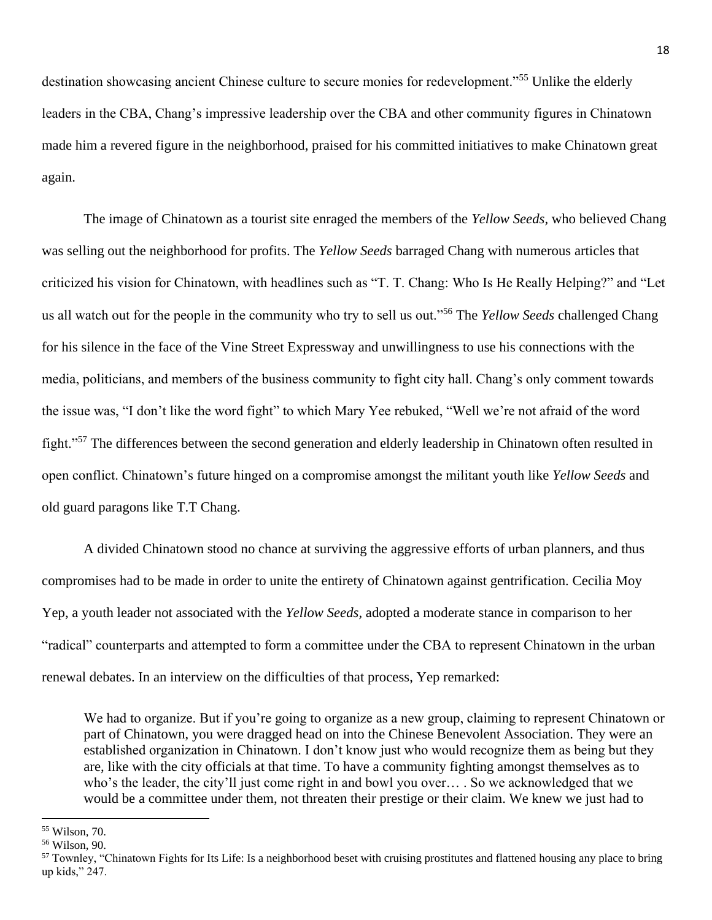destination showcasing ancient Chinese culture to secure monies for redevelopment."<sup>55</sup> Unlike the elderly leaders in the CBA, Chang's impressive leadership over the CBA and other community figures in Chinatown made him a revered figure in the neighborhood, praised for his committed initiatives to make Chinatown great again.

The image of Chinatown as a tourist site enraged the members of the *Yellow Seeds,* who believed Chang was selling out the neighborhood for profits. The *Yellow Seeds* barraged Chang with numerous articles that criticized his vision for Chinatown, with headlines such as "T. T. Chang: Who Is He Really Helping?" and "Let us all watch out for the people in the community who try to sell us out."<sup>56</sup> The *Yellow Seeds* challenged Chang for his silence in the face of the Vine Street Expressway and unwillingness to use his connections with the media, politicians, and members of the business community to fight city hall. Chang's only comment towards the issue was, "I don't like the word fight" to which Mary Yee rebuked, "Well we're not afraid of the word fight."<sup>57</sup> The differences between the second generation and elderly leadership in Chinatown often resulted in open conflict. Chinatown's future hinged on a compromise amongst the militant youth like *Yellow Seeds* and old guard paragons like T.T Chang.

A divided Chinatown stood no chance at surviving the aggressive efforts of urban planners, and thus compromises had to be made in order to unite the entirety of Chinatown against gentrification. Cecilia Moy Yep, a youth leader not associated with the *Yellow Seeds,* adopted a moderate stance in comparison to her "radical" counterparts and attempted to form a committee under the CBA to represent Chinatown in the urban renewal debates. In an interview on the difficulties of that process, Yep remarked:

We had to organize. But if you're going to organize as a new group, claiming to represent Chinatown or part of Chinatown, you were dragged head on into the Chinese Benevolent Association. They were an established organization in Chinatown. I don't know just who would recognize them as being but they are, like with the city officials at that time. To have a community fighting amongst themselves as to who's the leader, the city'll just come right in and bowl you over… . So we acknowledged that we would be a committee under them, not threaten their prestige or their claim. We knew we just had to

<sup>55</sup> Wilson, 70.

<sup>56</sup> Wilson, 90.

<sup>&</sup>lt;sup>57</sup> Townley, "Chinatown Fights for Its Life: Is a neighborhood beset with cruising prostitutes and flattened housing any place to bring up kids," 247.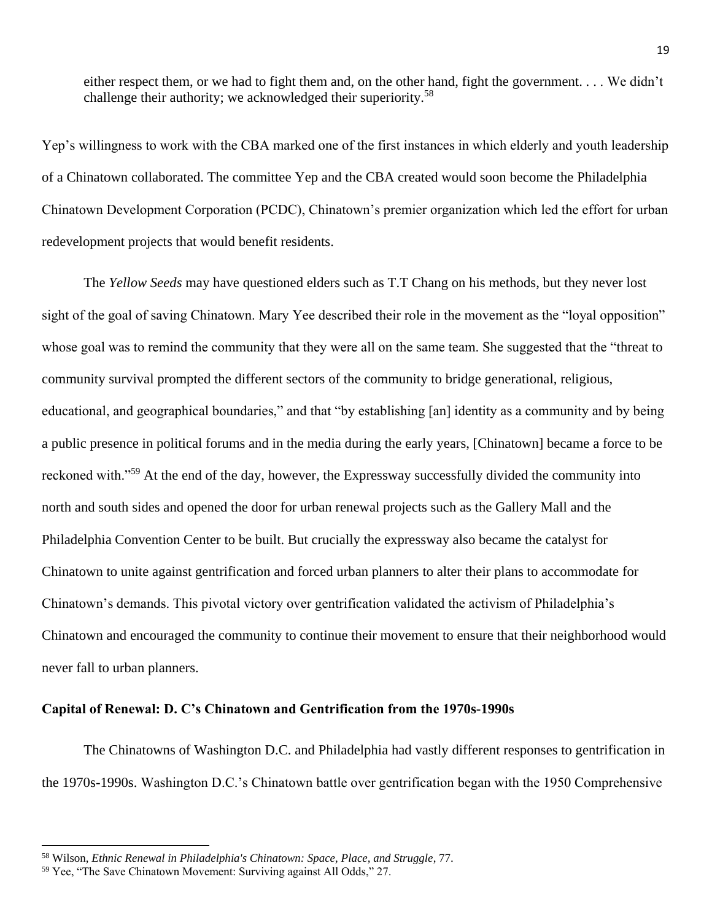either respect them, or we had to fight them and, on the other hand, fight the government. . . . We didn't challenge their authority; we acknowledged their superiority.<sup>58</sup>

Yep's willingness to work with the CBA marked one of the first instances in which elderly and youth leadership of a Chinatown collaborated. The committee Yep and the CBA created would soon become the Philadelphia Chinatown Development Corporation (PCDC), Chinatown's premier organization which led the effort for urban redevelopment projects that would benefit residents.

The *Yellow Seeds* may have questioned elders such as T.T Chang on his methods, but they never lost sight of the goal of saving Chinatown. Mary Yee described their role in the movement as the "loyal opposition" whose goal was to remind the community that they were all on the same team. She suggested that the "threat to" community survival prompted the different sectors of the community to bridge generational, religious, educational, and geographical boundaries," and that "by establishing [an] identity as a community and by being a public presence in political forums and in the media during the early years, [Chinatown] became a force to be reckoned with."<sup>59</sup> At the end of the day, however, the Expressway successfully divided the community into north and south sides and opened the door for urban renewal projects such as the Gallery Mall and the Philadelphia Convention Center to be built. But crucially the expressway also became the catalyst for Chinatown to unite against gentrification and forced urban planners to alter their plans to accommodate for Chinatown's demands. This pivotal victory over gentrification validated the activism of Philadelphia's Chinatown and encouraged the community to continue their movement to ensure that their neighborhood would never fall to urban planners.

#### **Capital of Renewal: D. C's Chinatown and Gentrification from the 1970s-1990s**

The Chinatowns of Washington D.C. and Philadelphia had vastly different responses to gentrification in the 1970s-1990s. Washington D.C.'s Chinatown battle over gentrification began with the 1950 Comprehensive

<sup>58</sup> Wilson, *Ethnic Renewal in Philadelphia's Chinatown: Space, Place, and Struggle*, 77.

<sup>59</sup> Yee, "The Save Chinatown Movement: Surviving against All Odds," 27.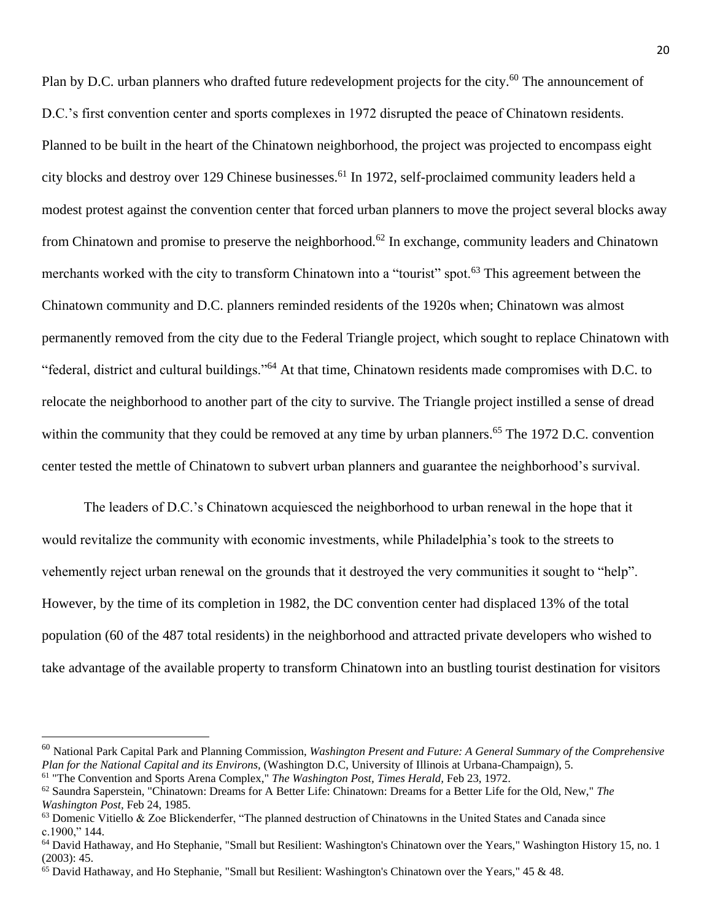Plan by D.C. urban planners who drafted future redevelopment projects for the city.<sup>60</sup> The announcement of D.C.'s first convention center and sports complexes in 1972 disrupted the peace of Chinatown residents. Planned to be built in the heart of the Chinatown neighborhood, the project was projected to encompass eight city blocks and destroy over 129 Chinese businesses.<sup>61</sup> In 1972, self-proclaimed community leaders held a modest protest against the convention center that forced urban planners to move the project several blocks away from Chinatown and promise to preserve the neighborhood.<sup>62</sup> In exchange, community leaders and Chinatown merchants worked with the city to transform Chinatown into a "tourist" spot.<sup>63</sup> This agreement between the Chinatown community and D.C. planners reminded residents of the 1920s when; Chinatown was almost permanently removed from the city due to the Federal Triangle project, which sought to replace Chinatown with "federal, district and cultural buildings."<sup>64</sup> At that time, Chinatown residents made compromises with D.C. to relocate the neighborhood to another part of the city to survive. The Triangle project instilled a sense of dread within the community that they could be removed at any time by urban planners.<sup>65</sup> The 1972 D.C. convention center tested the mettle of Chinatown to subvert urban planners and guarantee the neighborhood's survival.

The leaders of D.C.'s Chinatown acquiesced the neighborhood to urban renewal in the hope that it would revitalize the community with economic investments, while Philadelphia's took to the streets to vehemently reject urban renewal on the grounds that it destroyed the very communities it sought to "help". However, by the time of its completion in 1982, the DC convention center had displaced 13% of the total population (60 of the 487 total residents) in the neighborhood and attracted private developers who wished to take advantage of the available property to transform Chinatown into an bustling tourist destination for visitors

<sup>60</sup> National Park Capital Park and Planning Commission, *Washington Present and Future: A General Summary of the Comprehensive Plan for the National Capital and its Environs,* (Washington D.C, University of Illinois at Urbana-Champaign), 5. <sup>61</sup> "The Convention and Sports Arena Complex," *The Washington Post, Times Herald,* Feb 23, 1972.

<sup>62</sup> Saundra Saperstein, "Chinatown: Dreams for A Better Life: Chinatown: Dreams for a Better Life for the Old, New," *The Washington Post,* Feb 24, 1985.

 $63$  Domenic Vitiello & Zoe Blickenderfer, "The planned destruction of Chinatowns in the United States and Canada since c.1900," 144.

<sup>64</sup> David Hathaway, and Ho Stephanie, "Small but Resilient: Washington's Chinatown over the Years," Washington History 15, no. 1 (2003): 45.

<sup>65</sup> David Hathaway, and Ho Stephanie, "Small but Resilient: Washington's Chinatown over the Years," 45 & 48.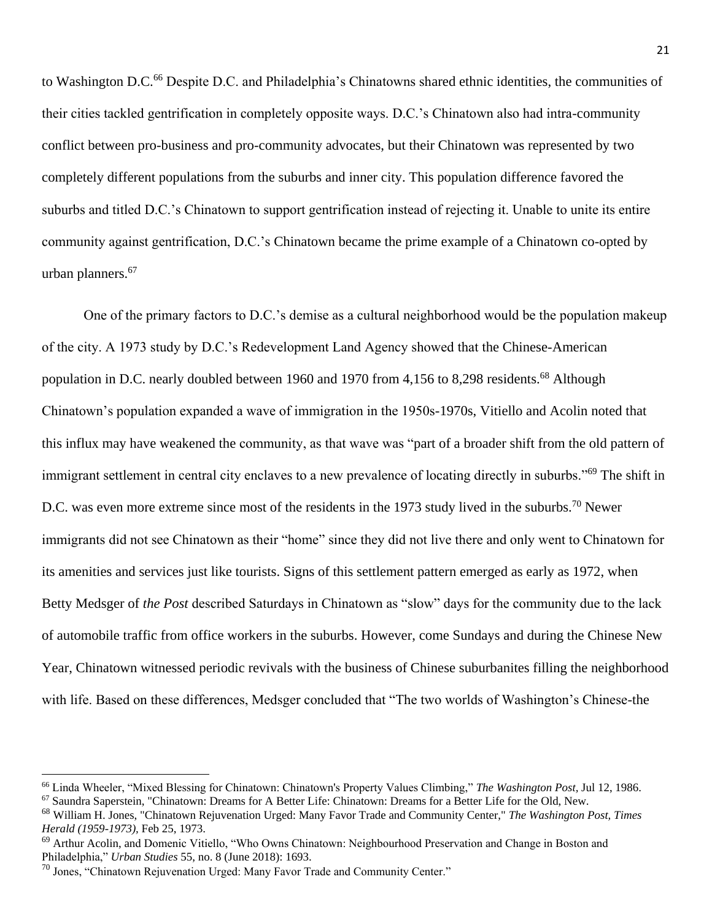to Washington D.C.<sup>66</sup> Despite D.C. and Philadelphia's Chinatowns shared ethnic identities, the communities of their cities tackled gentrification in completely opposite ways. D.C.'s Chinatown also had intra-community conflict between pro-business and pro-community advocates, but their Chinatown was represented by two completely different populations from the suburbs and inner city. This population difference favored the suburbs and titled D.C.'s Chinatown to support gentrification instead of rejecting it. Unable to unite its entire community against gentrification, D.C.'s Chinatown became the prime example of a Chinatown co-opted by urban planners.<sup>67</sup>

One of the primary factors to D.C.'s demise as a cultural neighborhood would be the population makeup of the city. A 1973 study by D.C.'s Redevelopment Land Agency showed that the Chinese-American population in D.C. nearly doubled between 1960 and 1970 from 4,156 to 8,298 residents.<sup>68</sup> Although Chinatown's population expanded a wave of immigration in the 1950s-1970s, Vitiello and Acolin noted that this influx may have weakened the community, as that wave was "part of a broader shift from the old pattern of immigrant settlement in central city enclaves to a new prevalence of locating directly in suburbs."<sup>69</sup> The shift in D.C. was even more extreme since most of the residents in the 1973 study lived in the suburbs.<sup>70</sup> Newer immigrants did not see Chinatown as their "home" since they did not live there and only went to Chinatown for its amenities and services just like tourists. Signs of this settlement pattern emerged as early as 1972, when Betty Medsger of *the Post* described Saturdays in Chinatown as "slow" days for the community due to the lack of automobile traffic from office workers in the suburbs. However, come Sundays and during the Chinese New Year, Chinatown witnessed periodic revivals with the business of Chinese suburbanites filling the neighborhood with life. Based on these differences, Medsger concluded that "The two worlds of Washington's Chinese-the

<sup>66</sup> Linda Wheeler, "Mixed Blessing for Chinatown: Chinatown's Property Values Climbing," *The Washington Post,* Jul 12, 1986. <sup>67</sup> Saundra Saperstein, "Chinatown: Dreams for A Better Life: Chinatown: Dreams for a Better Life for the Old, New.

<sup>68</sup> William H. Jones, "Chinatown Rejuvenation Urged: Many Favor Trade and Community Center," *The Washington Post, Times Herald (1959-1973),* Feb 25, 1973.

<sup>&</sup>lt;sup>69</sup> Arthur Acolin, and Domenic Vitiello, "Who Owns Chinatown: Neighbourhood Preservation and Change in Boston and Philadelphia," *Urban Studies* 55, no. 8 (June 2018): 1693.

<sup>&</sup>lt;sup>70</sup> Jones, "Chinatown Rejuvenation Urged: Many Favor Trade and Community Center."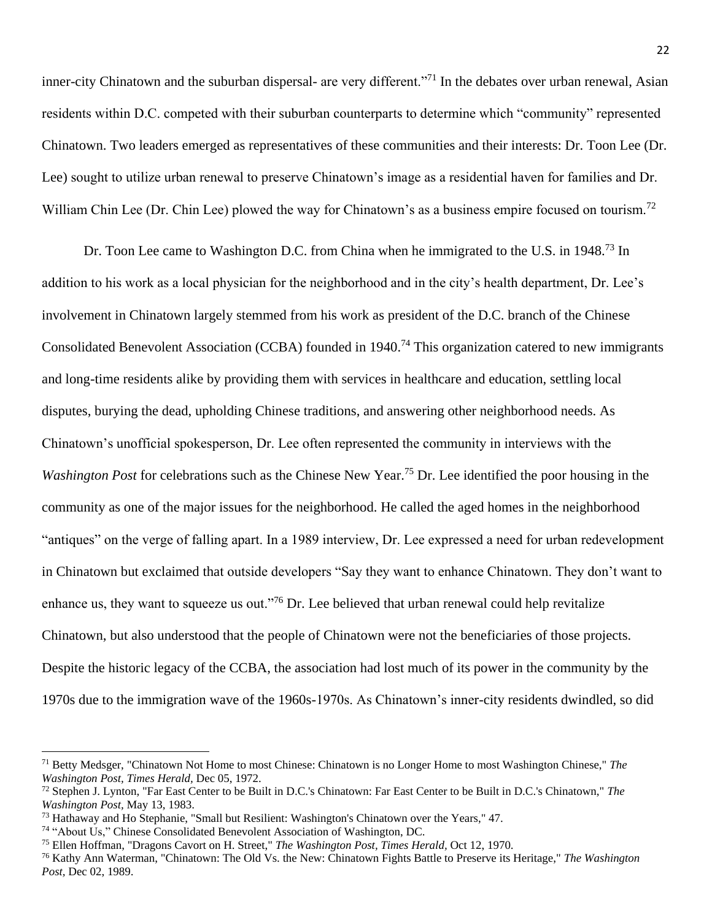inner-city Chinatown and the suburban dispersal- are very different."<sup>71</sup> In the debates over urban renewal, Asian residents within D.C. competed with their suburban counterparts to determine which "community" represented Chinatown. Two leaders emerged as representatives of these communities and their interests: Dr. Toon Lee (Dr. Lee) sought to utilize urban renewal to preserve Chinatown's image as a residential haven for families and Dr. William Chin Lee (Dr. Chin Lee) plowed the way for Chinatown's as a business empire focused on tourism.<sup>72</sup>

Dr. Toon Lee came to Washington D.C. from China when he immigrated to the U.S. in 1948.<sup>73</sup> In addition to his work as a local physician for the neighborhood and in the city's health department, Dr. Lee's involvement in Chinatown largely stemmed from his work as president of the D.C. branch of the Chinese Consolidated Benevolent Association (CCBA) founded in 1940.<sup>74</sup> This organization catered to new immigrants and long-time residents alike by providing them with services in healthcare and education, settling local disputes, burying the dead, upholding Chinese traditions, and answering other neighborhood needs. As Chinatown's unofficial spokesperson, Dr. Lee often represented the community in interviews with the *Washington Post* for celebrations such as the Chinese New Year.<sup>75</sup> Dr. Lee identified the poor housing in the community as one of the major issues for the neighborhood. He called the aged homes in the neighborhood "antiques" on the verge of falling apart. In a 1989 interview, Dr. Lee expressed a need for urban redevelopment in Chinatown but exclaimed that outside developers "Say they want to enhance Chinatown. They don't want to enhance us, they want to squeeze us out."<sup>76</sup> Dr. Lee believed that urban renewal could help revitalize Chinatown, but also understood that the people of Chinatown were not the beneficiaries of those projects. Despite the historic legacy of the CCBA, the association had lost much of its power in the community by the 1970s due to the immigration wave of the 1960s-1970s. As Chinatown's inner-city residents dwindled, so did

<sup>71</sup> Betty Medsger, "Chinatown Not Home to most Chinese: Chinatown is no Longer Home to most Washington Chinese," *The Washington Post, Times Herald,* Dec 05, 1972.

<sup>72</sup> Stephen J. Lynton, "Far East Center to be Built in D.C.'s Chinatown: Far East Center to be Built in D.C.'s Chinatown," *The Washington Post,* May 13, 1983.

<sup>73</sup> Hathaway and Ho Stephanie, "Small but Resilient: Washington's Chinatown over the Years," 47.

<sup>74</sup> "About Us," Chinese Consolidated Benevolent Association of Washington, DC.

<sup>75</sup> Ellen Hoffman, "Dragons Cavort on H. Street," *The Washington Post, Times Herald,* Oct 12, 1970.

<sup>76</sup> Kathy Ann Waterman, "Chinatown: The Old Vs. the New: Chinatown Fights Battle to Preserve its Heritage," *The Washington Post,* Dec 02, 1989.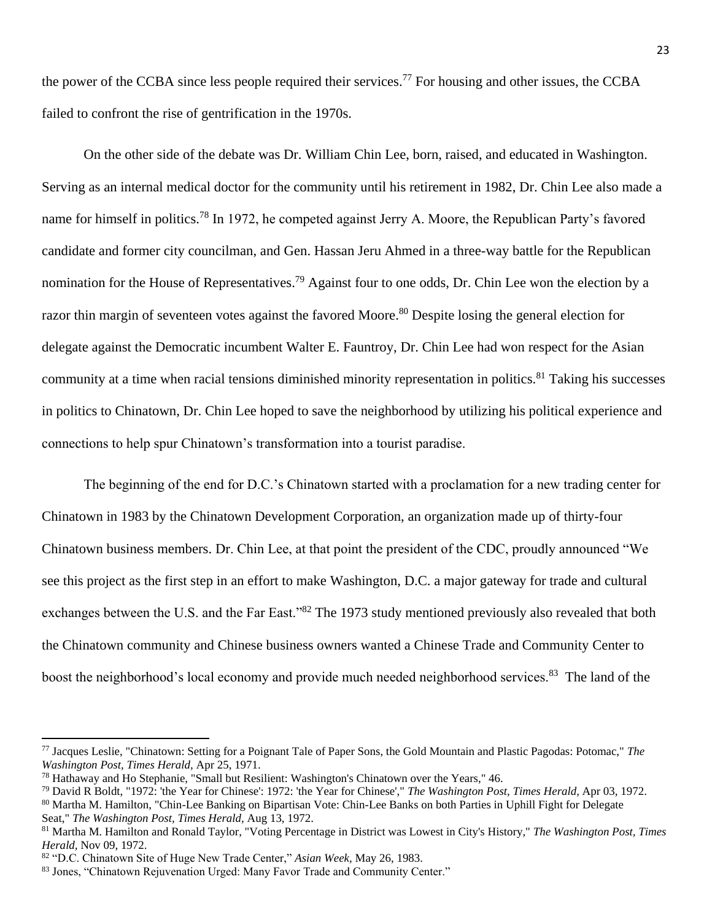the power of the CCBA since less people required their services.<sup>77</sup> For housing and other issues, the CCBA failed to confront the rise of gentrification in the 1970s.

On the other side of the debate was Dr. William Chin Lee, born, raised, and educated in Washington. Serving as an internal medical doctor for the community until his retirement in 1982, Dr. Chin Lee also made a name for himself in politics.<sup>78</sup> In 1972, he competed against Jerry A. Moore, the Republican Party's favored candidate and former city councilman, and Gen. Hassan Jeru Ahmed in a three-way battle for the Republican nomination for the House of Representatives.<sup>79</sup> Against four to one odds, Dr. Chin Lee won the election by a razor thin margin of seventeen votes against the favored Moore.<sup>80</sup> Despite losing the general election for delegate against the Democratic incumbent Walter E. Fauntroy, Dr. Chin Lee had won respect for the Asian community at a time when racial tensions diminished minority representation in politics.<sup>81</sup> Taking his successes in politics to Chinatown, Dr. Chin Lee hoped to save the neighborhood by utilizing his political experience and connections to help spur Chinatown's transformation into a tourist paradise.

The beginning of the end for D.C.'s Chinatown started with a proclamation for a new trading center for Chinatown in 1983 by the Chinatown Development Corporation, an organization made up of thirty-four Chinatown business members. Dr. Chin Lee, at that point the president of the CDC, proudly announced "We see this project as the first step in an effort to make Washington, D.C. a major gateway for trade and cultural exchanges between the U.S. and the Far East."<sup>82</sup> The 1973 study mentioned previously also revealed that both the Chinatown community and Chinese business owners wanted a Chinese Trade and Community Center to boost the neighborhood's local economy and provide much needed neighborhood services.<sup>83</sup> The land of the

<sup>77</sup> Jacques Leslie, "Chinatown: Setting for a Poignant Tale of Paper Sons, the Gold Mountain and Plastic Pagodas: Potomac," *The Washington Post, Times Herald,* Apr 25, 1971.

<sup>78</sup> Hathaway and Ho Stephanie, "Small but Resilient: Washington's Chinatown over the Years," 46.

<sup>79</sup> David R Boldt, "1972: 'the Year for Chinese': 1972: 'the Year for Chinese'," *The Washington Post, Times Herald,* Apr 03, 1972.

<sup>&</sup>lt;sup>80</sup> Martha M. Hamilton, "Chin-Lee Banking on Bipartisan Vote: Chin-Lee Banks on both Parties in Uphill Fight for Delegate Seat," *The Washington Post, Times Herald,* Aug 13, 1972.

<sup>81</sup> Martha M. Hamilton and Ronald Taylor, "Voting Percentage in District was Lowest in City's History," *The Washington Post, Times Herald,* Nov 09, 1972.

<sup>82</sup> "D.C. Chinatown Site of Huge New Trade Center," *Asian Week,* May 26, 1983.

<sup>83</sup> Jones, "Chinatown Rejuvenation Urged: Many Favor Trade and Community Center."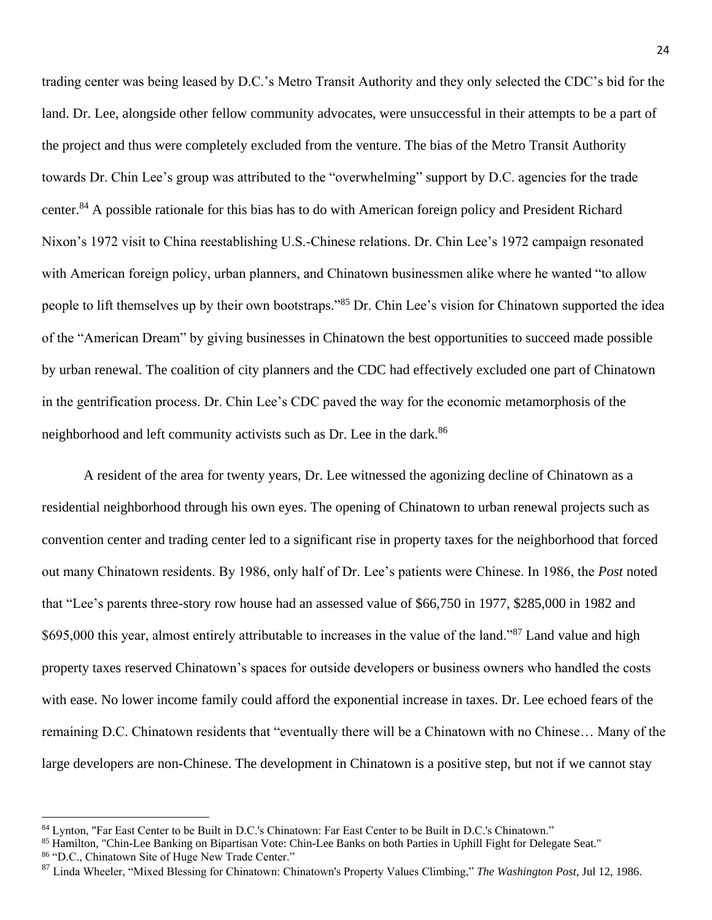trading center was being leased by D.C.'s Metro Transit Authority and they only selected the CDC's bid for the land. Dr. Lee, alongside other fellow community advocates, were unsuccessful in their attempts to be a part of the project and thus were completely excluded from the venture. The bias of the Metro Transit Authority towards Dr. Chin Lee's group was attributed to the "overwhelming" support by D.C. agencies for the trade center.<sup>84</sup> A possible rationale for this bias has to do with American foreign policy and President Richard Nixon's 1972 visit to China reestablishing U.S.-Chinese relations. Dr. Chin Lee's 1972 campaign resonated with American foreign policy, urban planners, and Chinatown businessmen alike where he wanted "to allow people to lift themselves up by their own bootstraps."<sup>85</sup> Dr. Chin Lee's vision for Chinatown supported the idea of the "American Dream" by giving businesses in Chinatown the best opportunities to succeed made possible by urban renewal. The coalition of city planners and the CDC had effectively excluded one part of Chinatown in the gentrification process. Dr. Chin Lee's CDC paved the way for the economic metamorphosis of the neighborhood and left community activists such as Dr. Lee in the dark.<sup>86</sup>

A resident of the area for twenty years, Dr. Lee witnessed the agonizing decline of Chinatown as a residential neighborhood through his own eyes. The opening of Chinatown to urban renewal projects such as convention center and trading center led to a significant rise in property taxes for the neighborhood that forced out many Chinatown residents. By 1986, only half of Dr. Lee's patients were Chinese. In 1986, the *Post* noted that "Lee's parents three-story row house had an assessed value of \$66,750 in 1977, \$285,000 in 1982 and \$695,000 this year, almost entirely attributable to increases in the value of the land."<sup>87</sup> Land value and high property taxes reserved Chinatown's spaces for outside developers or business owners who handled the costs with ease. No lower income family could afford the exponential increase in taxes. Dr. Lee echoed fears of the remaining D.C. Chinatown residents that "eventually there will be a Chinatown with no Chinese… Many of the large developers are non-Chinese. The development in Chinatown is a positive step, but not if we cannot stay

86 "D.C., Chinatown Site of Huge New Trade Center."

<sup>84</sup> Lynton, "Far East Center to be Built in D.C.'s Chinatown: Far East Center to be Built in D.C.'s Chinatown."

<sup>85</sup> Hamilton, "Chin-Lee Banking on Bipartisan Vote: Chin-Lee Banks on both Parties in Uphill Fight for Delegate Seat."

<sup>87</sup> Linda Wheeler, "Mixed Blessing for Chinatown: Chinatown's Property Values Climbing," *The Washington Post,* Jul 12, 1986.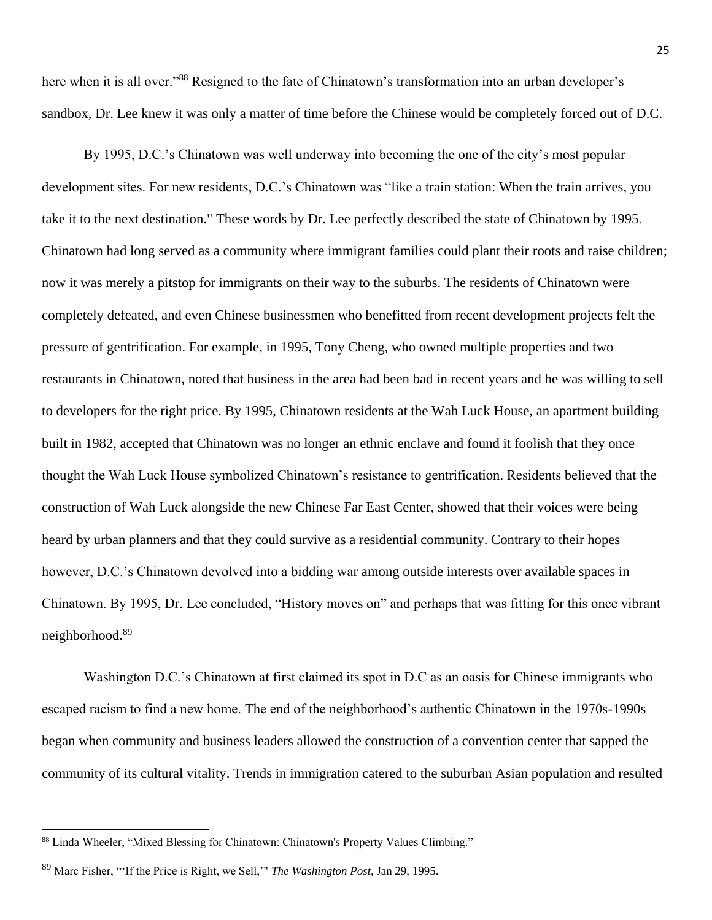here when it is all over."<sup>88</sup> Resigned to the fate of Chinatown's transformation into an urban developer's sandbox, Dr. Lee knew it was only a matter of time before the Chinese would be completely forced out of D.C.

By 1995, D.C.'s Chinatown was well underway into becoming the one of the city's most popular development sites. For new residents, D.C.'s Chinatown was "like a train station: When the train arrives, you take it to the next destination." These words by Dr. Lee perfectly described the state of Chinatown by 1995. Chinatown had long served as a community where immigrant families could plant their roots and raise children; now it was merely a pitstop for immigrants on their way to the suburbs. The residents of Chinatown were completely defeated, and even Chinese businessmen who benefitted from recent development projects felt the pressure of gentrification. For example, in 1995, Tony Cheng, who owned multiple properties and two restaurants in Chinatown, noted that business in the area had been bad in recent years and he was willing to sell to developers for the right price. By 1995, Chinatown residents at the Wah Luck House, an apartment building built in 1982, accepted that Chinatown was no longer an ethnic enclave and found it foolish that they once thought the Wah Luck House symbolized Chinatown's resistance to gentrification. Residents believed that the construction of Wah Luck alongside the new Chinese Far East Center, showed that their voices were being heard by urban planners and that they could survive as a residential community. Contrary to their hopes however, D.C.'s Chinatown devolved into a bidding war among outside interests over available spaces in Chinatown. By 1995, Dr. Lee concluded, "History moves on" and perhaps that was fitting for this once vibrant neighborhood.<sup>89</sup>

Washington D.C.'s Chinatown at first claimed its spot in D.C as an oasis for Chinese immigrants who escaped racism to find a new home. The end of the neighborhood's authentic Chinatown in the 1970s-1990s began when community and business leaders allowed the construction of a convention center that sapped the community of its cultural vitality. Trends in immigration catered to the suburban Asian population and resulted

<sup>88</sup> Linda Wheeler, "Mixed Blessing for Chinatown: Chinatown's Property Values Climbing."

<sup>89</sup> Marc Fisher, "'If the Price is Right, we Sell,'" *The Washington Post,* Jan 29, 1995.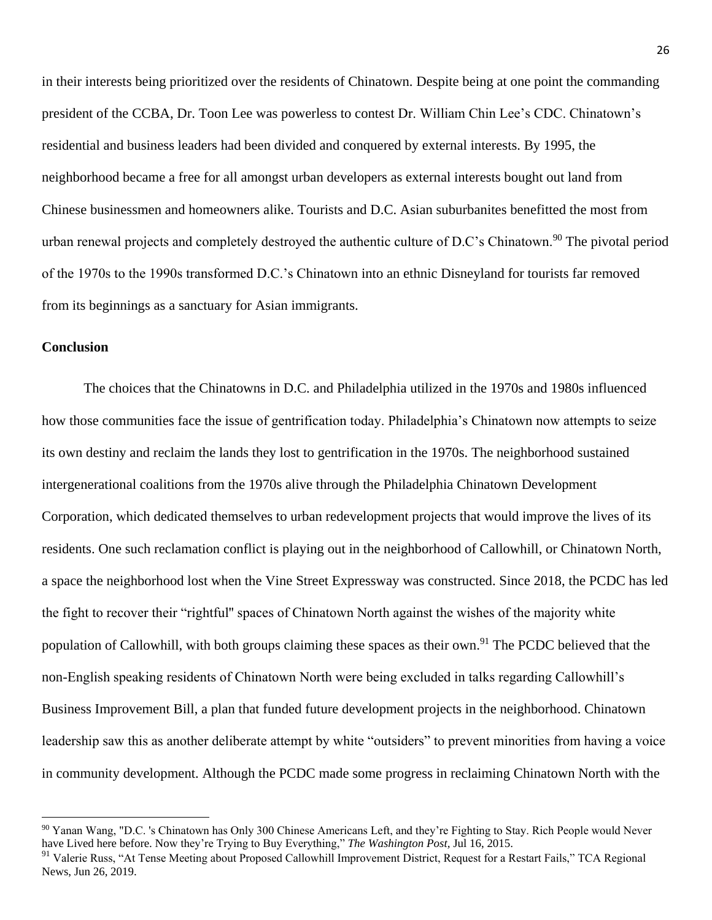in their interests being prioritized over the residents of Chinatown. Despite being at one point the commanding president of the CCBA, Dr. Toon Lee was powerless to contest Dr. William Chin Lee's CDC. Chinatown's residential and business leaders had been divided and conquered by external interests. By 1995, the neighborhood became a free for all amongst urban developers as external interests bought out land from Chinese businessmen and homeowners alike. Tourists and D.C. Asian suburbanites benefitted the most from urban renewal projects and completely destroyed the authentic culture of D.C's Chinatown.<sup>90</sup> The pivotal period of the 1970s to the 1990s transformed D.C.'s Chinatown into an ethnic Disneyland for tourists far removed from its beginnings as a sanctuary for Asian immigrants.

#### **Conclusion**

 $\overline{\phantom{a}}$ 

The choices that the Chinatowns in D.C. and Philadelphia utilized in the 1970s and 1980s influenced how those communities face the issue of gentrification today. Philadelphia's Chinatown now attempts to seize its own destiny and reclaim the lands they lost to gentrification in the 1970s. The neighborhood sustained intergenerational coalitions from the 1970s alive through the Philadelphia Chinatown Development Corporation, which dedicated themselves to urban redevelopment projects that would improve the lives of its residents. One such reclamation conflict is playing out in the neighborhood of Callowhill, or Chinatown North, a space the neighborhood lost when the Vine Street Expressway was constructed. Since 2018, the PCDC has led the fight to recover their "rightful'' spaces of Chinatown North against the wishes of the majority white population of Callowhill, with both groups claiming these spaces as their own.<sup>91</sup> The PCDC believed that the non-English speaking residents of Chinatown North were being excluded in talks regarding Callowhill's Business Improvement Bill, a plan that funded future development projects in the neighborhood. Chinatown leadership saw this as another deliberate attempt by white "outsiders" to prevent minorities from having a voice in community development. Although the PCDC made some progress in reclaiming Chinatown North with the

<sup>90</sup> Yanan Wang, "D.C. 's Chinatown has Only 300 Chinese Americans Left, and they're Fighting to Stay. Rich People would Never have Lived here before. Now they're Trying to Buy Everything," *The Washington Post,* Jul 16, 2015.

 $91$  Valerie Russ, "At Tense Meeting about Proposed Callowhill Improvement District, Request for a Restart Fails," TCA Regional News, Jun 26, 2019.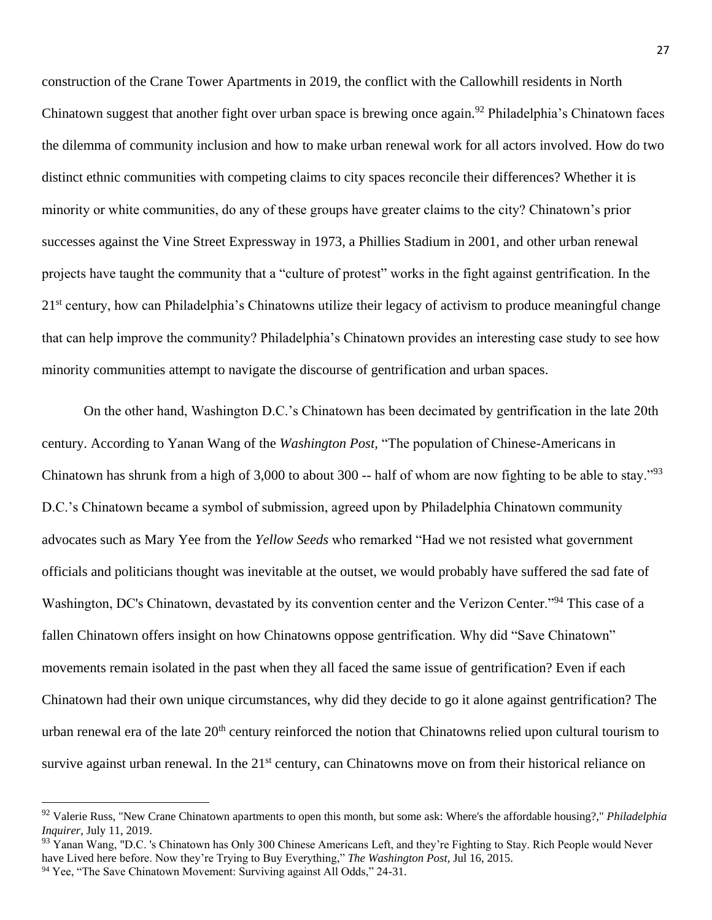construction of the Crane Tower Apartments in 2019, the conflict with the Callowhill residents in North Chinatown suggest that another fight over urban space is brewing once again.<sup>92</sup> Philadelphia's Chinatown faces the dilemma of community inclusion and how to make urban renewal work for all actors involved. How do two distinct ethnic communities with competing claims to city spaces reconcile their differences? Whether it is minority or white communities, do any of these groups have greater claims to the city? Chinatown's prior successes against the Vine Street Expressway in 1973, a Phillies Stadium in 2001, and other urban renewal projects have taught the community that a "culture of protest" works in the fight against gentrification. In the 21<sup>st</sup> century, how can Philadelphia's Chinatowns utilize their legacy of activism to produce meaningful change that can help improve the community? Philadelphia's Chinatown provides an interesting case study to see how minority communities attempt to navigate the discourse of gentrification and urban spaces.

On the other hand, Washington D.C.'s Chinatown has been decimated by gentrification in the late 20th century. According to Yanan Wang of the *Washington Post,* "The population of Chinese-Americans in Chinatown has shrunk from a high of 3,000 to about 300 -- half of whom are now fighting to be able to stay."<sup>93</sup> D.C.'s Chinatown became a symbol of submission, agreed upon by Philadelphia Chinatown community advocates such as Mary Yee from the *Yellow Seeds* who remarked "Had we not resisted what government officials and politicians thought was inevitable at the outset, we would probably have suffered the sad fate of Washington, DC's Chinatown, devastated by its convention center and the Verizon Center."<sup>94</sup> This case of a fallen Chinatown offers insight on how Chinatowns oppose gentrification. Why did "Save Chinatown" movements remain isolated in the past when they all faced the same issue of gentrification? Even if each Chinatown had their own unique circumstances, why did they decide to go it alone against gentrification? The urban renewal era of the late  $20<sup>th</sup>$  century reinforced the notion that Chinatowns relied upon cultural tourism to survive against urban renewal. In the 21<sup>st</sup> century, can Chinatowns move on from their historical reliance on

 $\overline{a}$ 

<sup>92</sup> Valerie Russ, "New Crane Chinatown apartments to open this month, but some ask: Where's the affordable housing?," *Philadelphia Inquirer*, July 11, 2019.

<sup>&</sup>lt;sup>93</sup> Yanan Wang, "D.C. 's Chinatown has Only 300 Chinese Americans Left, and they're Fighting to Stay. Rich People would Never have Lived here before. Now they're Trying to Buy Everything," *The Washington Post,* Jul 16, 2015.

<sup>&</sup>lt;sup>94</sup> Yee, "The Save Chinatown Movement: Surviving against All Odds," 24-31.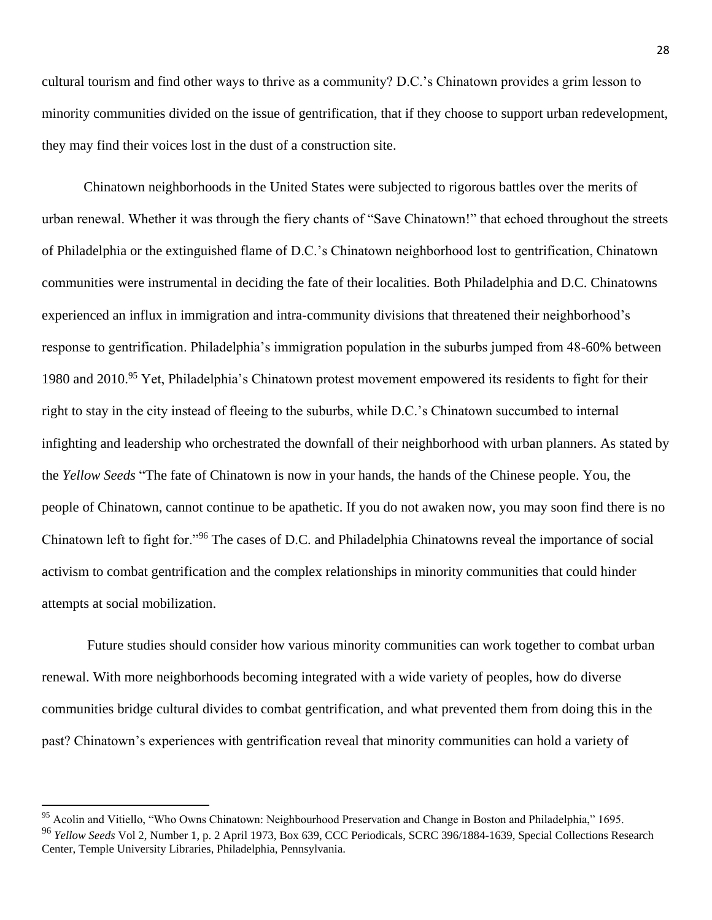cultural tourism and find other ways to thrive as a community? D.C.'s Chinatown provides a grim lesson to minority communities divided on the issue of gentrification, that if they choose to support urban redevelopment, they may find their voices lost in the dust of a construction site.

Chinatown neighborhoods in the United States were subjected to rigorous battles over the merits of urban renewal. Whether it was through the fiery chants of "Save Chinatown!" that echoed throughout the streets of Philadelphia or the extinguished flame of D.C.'s Chinatown neighborhood lost to gentrification, Chinatown communities were instrumental in deciding the fate of their localities. Both Philadelphia and D.C. Chinatowns experienced an influx in immigration and intra-community divisions that threatened their neighborhood's response to gentrification. Philadelphia's immigration population in the suburbs jumped from 48-60% between 1980 and 2010.<sup>95</sup> Yet, Philadelphia's Chinatown protest movement empowered its residents to fight for their right to stay in the city instead of fleeing to the suburbs, while D.C.'s Chinatown succumbed to internal infighting and leadership who orchestrated the downfall of their neighborhood with urban planners. As stated by the *Yellow Seeds* "The fate of Chinatown is now in your hands, the hands of the Chinese people. You, the people of Chinatown, cannot continue to be apathetic. If you do not awaken now, you may soon find there is no Chinatown left to fight for."<sup>96</sup> The cases of D.C. and Philadelphia Chinatowns reveal the importance of social activism to combat gentrification and the complex relationships in minority communities that could hinder attempts at social mobilization.

Future studies should consider how various minority communities can work together to combat urban renewal. With more neighborhoods becoming integrated with a wide variety of peoples, how do diverse communities bridge cultural divides to combat gentrification, and what prevented them from doing this in the past? Chinatown's experiences with gentrification reveal that minority communities can hold a variety of

<sup>&</sup>lt;sup>95</sup> Acolin and Vitiello, "Who Owns Chinatown: Neighbourhood Preservation and Change in Boston and Philadelphia," 1695. <sup>96</sup> *Yellow Seeds* Vol 2, Number 1, p. 2 April 1973, Box 639, CCC Periodicals, SCRC 396/1884-1639, Special Collections Research Center, Temple University Libraries, Philadelphia, Pennsylvania.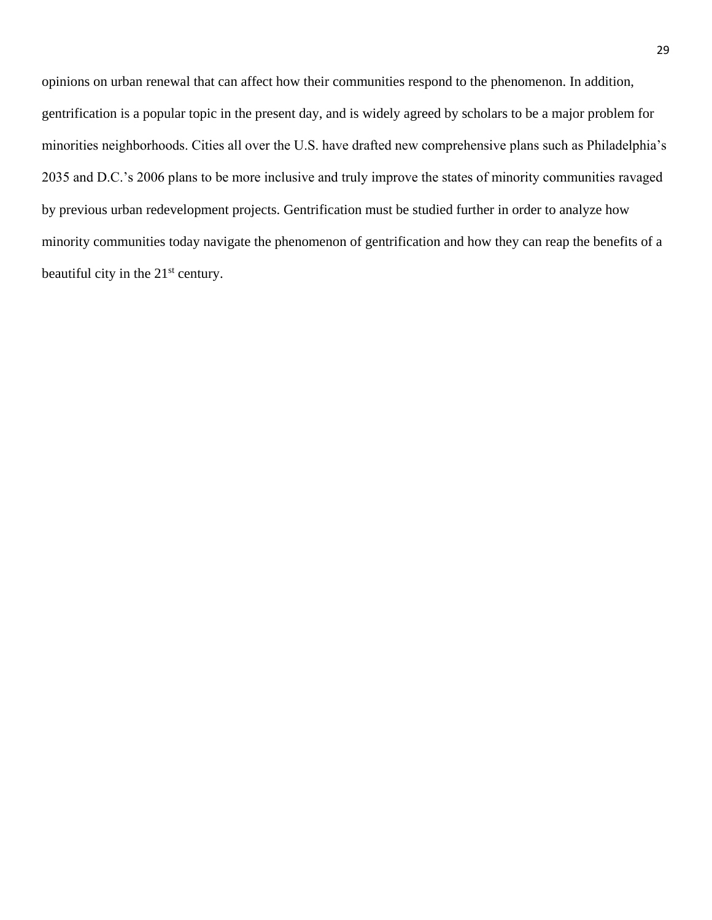opinions on urban renewal that can affect how their communities respond to the phenomenon. In addition, gentrification is a popular topic in the present day, and is widely agreed by scholars to be a major problem for minorities neighborhoods. Cities all over the U.S. have drafted new comprehensive plans such as Philadelphia's 2035 and D.C.'s 2006 plans to be more inclusive and truly improve the states of minority communities ravaged by previous urban redevelopment projects. Gentrification must be studied further in order to analyze how minority communities today navigate the phenomenon of gentrification and how they can reap the benefits of a beautiful city in the 21<sup>st</sup> century.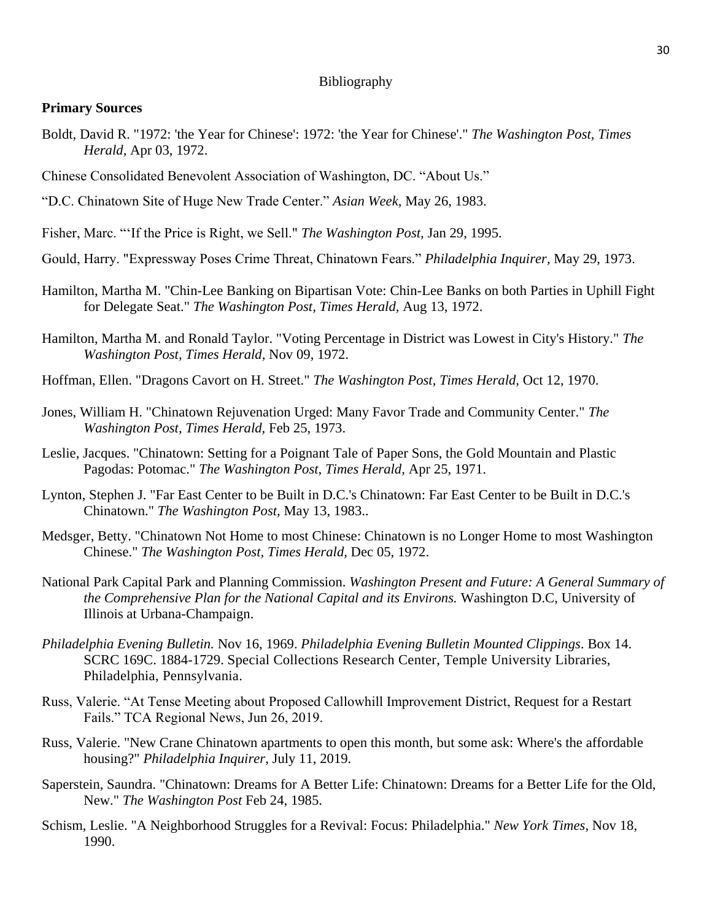#### Bibliography

#### **Primary Sources**

- Boldt, David R. "1972: 'the Year for Chinese': 1972: 'the Year for Chinese'." *The Washington Post, Times Herald,* Apr 03, 1972.
- Chinese Consolidated Benevolent Association of Washington, DC. "About Us."
- "D.C. Chinatown Site of Huge New Trade Center." *Asian Week,* May 26, 1983.
- Fisher, Marc. "'If the Price is Right, we Sell." *The Washington Post,* Jan 29, 1995.
- Gould, Harry. "Expressway Poses Crime Threat, Chinatown Fears." *Philadelphia Inquirer,* May 29, 1973.
- Hamilton, Martha M. "Chin-Lee Banking on Bipartisan Vote: Chin-Lee Banks on both Parties in Uphill Fight for Delegate Seat." *The Washington Post, Times Herald,* Aug 13, 1972.
- Hamilton, Martha M. and Ronald Taylor. "Voting Percentage in District was Lowest in City's History." *The Washington Post, Times Herald,* Nov 09, 1972.
- Hoffman, Ellen. "Dragons Cavort on H. Street." *The Washington Post, Times Herald,* Oct 12, 1970.
- Jones, William H. "Chinatown Rejuvenation Urged: Many Favor Trade and Community Center." *The Washington Post, Times Herald,* Feb 25, 1973.
- Leslie, Jacques. "Chinatown: Setting for a Poignant Tale of Paper Sons, the Gold Mountain and Plastic Pagodas: Potomac." *The Washington Post, Times Herald,* Apr 25, 1971.
- Lynton, Stephen J. "Far East Center to be Built in D.C.'s Chinatown: Far East Center to be Built in D.C.'s Chinatown." *The Washington Post,* May 13, 1983..
- Medsger, Betty. "Chinatown Not Home to most Chinese: Chinatown is no Longer Home to most Washington Chinese." *The Washington Post, Times Herald,* Dec 05, 1972.
- National Park Capital Park and Planning Commission. *Washington Present and Future: A General Summary of the Comprehensive Plan for the National Capital and its Environs.* Washington D.C, University of Illinois at Urbana-Champaign.
- *Philadelphia Evening Bulletin.* Nov 16, 1969. *Philadelphia Evening Bulletin Mounted Clippings*. Box 14. SCRC 169C. 1884-1729. Special Collections Research Center, Temple University Libraries, Philadelphia, Pennsylvania.
- Russ, Valerie. "At Tense Meeting about Proposed Callowhill Improvement District, Request for a Restart Fails." TCA Regional News, Jun 26, 2019[.](file:///C:/Users/chris/Downloads/)
- Russ, Valerie. "New Crane Chinatown apartments to open this month, but some ask: Where's the affordable housing?" *Philadelphia Inquirer*, July 11, 2019.
- Saperstein, Saundra. "Chinatown: Dreams for A Better Life: Chinatown: Dreams for a Better Life for the Old, New." *The Washington Post* Feb 24, 1985.
- Schism, Leslie. "A Neighborhood Struggles for a Revival: Focus: Philadelphia." *New York Times,* Nov 18, 1990.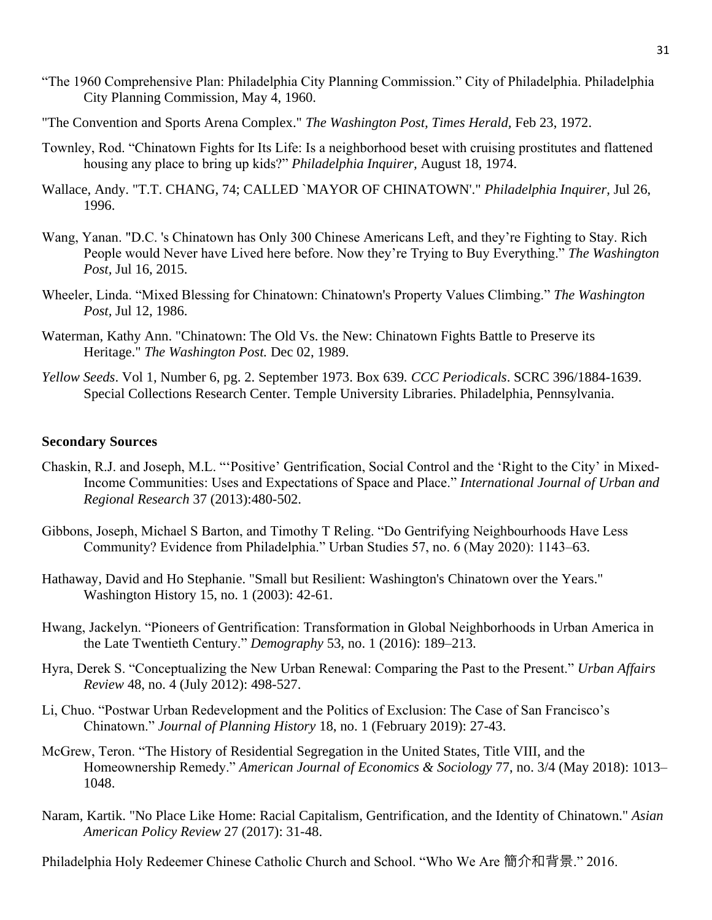- "The 1960 Comprehensive Plan: Philadelphia City Planning Commission." City of Philadelphia. Philadelphia City Planning Commission, May 4, 1960.
- "The Convention and Sports Arena Complex." *The Washington Post, Times Herald,* Feb 23, 1972.
- Townley, Rod. "Chinatown Fights for Its Life: Is a neighborhood beset with cruising prostitutes and flattened housing any place to bring up kids?" *Philadelphia Inquirer,* August 18, 1974.
- Wallace, Andy. "T.T. CHANG, 74; CALLED `MAYOR OF CHINATOWN'." *Philadelphia Inquirer,* Jul 26, 1996.
- Wang, Yanan. "D.C. 's Chinatown has Only 300 Chinese Americans Left, and they're Fighting to Stay. Rich People would Never have Lived here before. Now they're Trying to Buy Everything." *The Washington Post,* Jul 16, 2015.
- Wheeler, Linda. "Mixed Blessing for Chinatown: Chinatown's Property Values Climbing." *The Washington Post,* Jul 12, 1986[.](file:///C:/Users/chris/Downloads/)
- Waterman, Kathy Ann. "Chinatown: The Old Vs. the New: Chinatown Fights Battle to Preserve its Heritage." *The Washington Post.* Dec 02, 1989.
- *Yellow Seeds*. Vol 1, Number 6, pg. 2. September 1973. Box 639*. CCC Periodicals*. SCRC 396/1884-1639. Special Collections Research Center. Temple University Libraries. Philadelphia, Pennsylvania.

#### **Secondary Sources**

- Chaskin, R.J. and Joseph, M.L. "'Positive' Gentrification, Social Control and the 'Right to the City' in Mixed-Income Communities: Uses and Expectations of Space and Place." *International Journal of Urban and Regional Research* 37 (2013):480-502.
- Gibbons, Joseph, Michael S Barton, and Timothy T Reling. "Do Gentrifying Neighbourhoods Have Less Community? Evidence from Philadelphia." Urban Studies 57, no. 6 (May 2020): 1143–63.
- Hathaway, David and Ho Stephanie. "Small but Resilient: Washington's Chinatown over the Years." Washington History 15, no. 1 (2003): 42-61.
- Hwang, Jackelyn. "Pioneers of Gentrification: Transformation in Global Neighborhoods in Urban America in the Late Twentieth Century." *Demography* 53, no. 1 (2016): 189–213.
- Hyra, Derek S. "Conceptualizing the New Urban Renewal: Comparing the Past to the Present." *Urban Affairs Review* 48, no. 4 (July 2012): 498-527[.](file:///C:/Users/chris/Downloads/)
- Li, Chuo. "Postwar Urban Redevelopment and the Politics of Exclusion: The Case of San Francisco's Chinatown." *Journal of Planning History* 18, no. 1 (February 2019): 27-43[.](file:///C:/Users/chris/Downloads/)
- McGrew, Teron. "The History of Residential Segregation in the United States, Title VIII, and the Homeownership Remedy." *American Journal of Economics & Sociology* 77, no. 3/4 (May 2018): 1013– 1048.
- Naram, Kartik. "No Place Like Home: Racial Capitalism, Gentrification, and the Identity of Chinatown." *Asian American Policy Review* 27 (2017): 31-48.

Philadelphia Holy Redeemer Chinese Catholic Church and School. "Who We Are 簡介和背景." 2016.